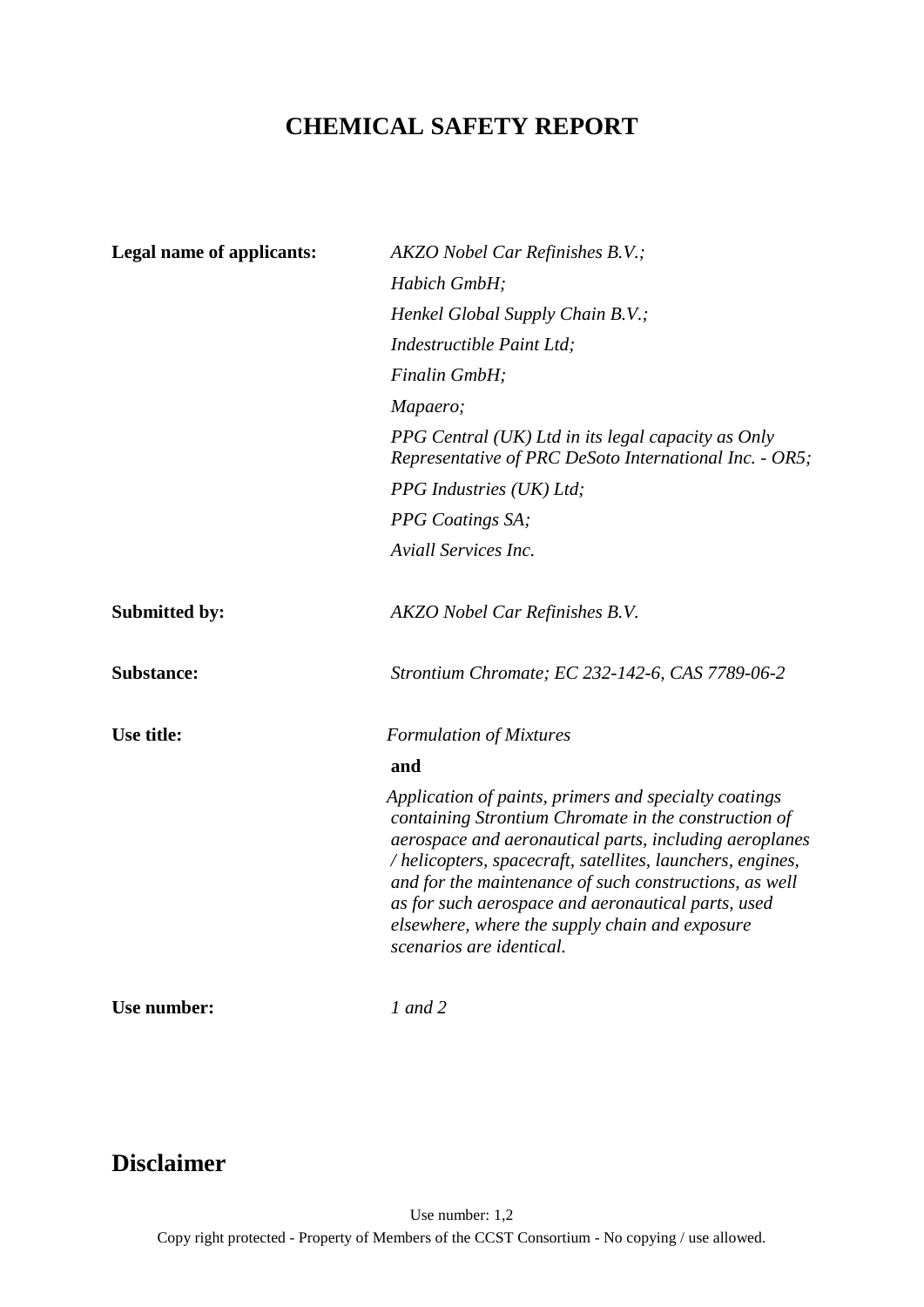# **CHEMICAL SAFETY REPORT**

| <b>Legal name of applicants:</b> | AKZO Nobel Car Refinishes B.V.;                                                                                                                                                                                                                                                                                                                                                                                                    |
|----------------------------------|------------------------------------------------------------------------------------------------------------------------------------------------------------------------------------------------------------------------------------------------------------------------------------------------------------------------------------------------------------------------------------------------------------------------------------|
|                                  | Habich GmbH;                                                                                                                                                                                                                                                                                                                                                                                                                       |
|                                  | Henkel Global Supply Chain B.V.;                                                                                                                                                                                                                                                                                                                                                                                                   |
|                                  | Indestructible Paint Ltd;                                                                                                                                                                                                                                                                                                                                                                                                          |
|                                  | Finalin GmbH;                                                                                                                                                                                                                                                                                                                                                                                                                      |
|                                  | Mapaero;                                                                                                                                                                                                                                                                                                                                                                                                                           |
|                                  | PPG Central (UK) Ltd in its legal capacity as Only<br>Representative of PRC DeSoto International Inc. - OR5;                                                                                                                                                                                                                                                                                                                       |
|                                  | PPG Industries (UK) Ltd;                                                                                                                                                                                                                                                                                                                                                                                                           |
|                                  | <b>PPG</b> Coatings SA;                                                                                                                                                                                                                                                                                                                                                                                                            |
|                                  | Aviall Services Inc.                                                                                                                                                                                                                                                                                                                                                                                                               |
| <b>Submitted by:</b>             | <b>AKZO</b> Nobel Car Refinishes B.V.                                                                                                                                                                                                                                                                                                                                                                                              |
| <b>Substance:</b>                | Strontium Chromate; EC 232-142-6, CAS 7789-06-2                                                                                                                                                                                                                                                                                                                                                                                    |
| Use title:                       | <b>Formulation of Mixtures</b>                                                                                                                                                                                                                                                                                                                                                                                                     |
|                                  | and                                                                                                                                                                                                                                                                                                                                                                                                                                |
|                                  | Application of paints, primers and specialty coatings<br>containing Strontium Chromate in the construction of<br>aerospace and aeronautical parts, including aeroplanes<br>/helicopters, spacecraft, satellites, launchers, engines,<br>and for the maintenance of such constructions, as well<br>as for such aerospace and aeronautical parts, used<br>elsewhere, where the supply chain and exposure<br>scenarios are identical. |
| Use number:                      | $1$ and $2$                                                                                                                                                                                                                                                                                                                                                                                                                        |

# **Disclaimer**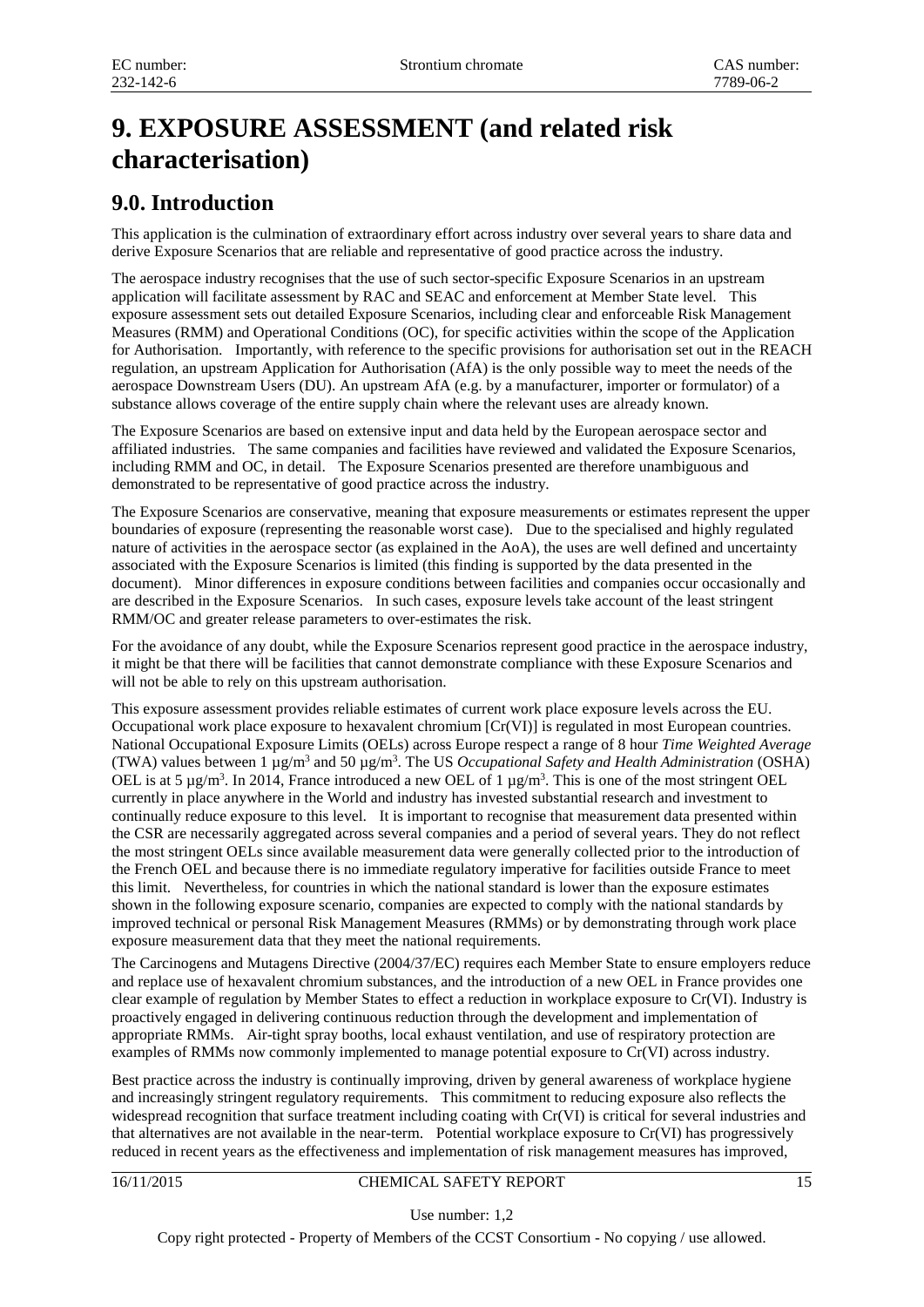# **9. EXPOSURE ASSESSMENT (and related risk characterisation)**

# **9.0. Introduction**

This application is the culmination of extraordinary effort across industry over several years to share data and derive Exposure Scenarios that are reliable and representative of good practice across the industry.

The aerospace industry recognises that the use of such sector-specific Exposure Scenarios in an upstream application will facilitate assessment by RAC and SEAC and enforcement at Member State level. This exposure assessment sets out detailed Exposure Scenarios, including clear and enforceable Risk Management Measures (RMM) and Operational Conditions (OC), for specific activities within the scope of the Application for Authorisation. Importantly, with reference to the specific provisions for authorisation set out in the REACH regulation, an upstream Application for Authorisation (AfA) is the only possible way to meet the needs of the aerospace Downstream Users (DU). An upstream AfA (e.g. by a manufacturer, importer or formulator) of a substance allows coverage of the entire supply chain where the relevant uses are already known.

The Exposure Scenarios are based on extensive input and data held by the European aerospace sector and affiliated industries. The same companies and facilities have reviewed and validated the Exposure Scenarios, including RMM and OC, in detail. The Exposure Scenarios presented are therefore unambiguous and demonstrated to be representative of good practice across the industry.

The Exposure Scenarios are conservative, meaning that exposure measurements or estimates represent the upper boundaries of exposure (representing the reasonable worst case). Due to the specialised and highly regulated nature of activities in the aerospace sector (as explained in the AoA), the uses are well defined and uncertainty associated with the Exposure Scenarios is limited (this finding is supported by the data presented in the document). Minor differences in exposure conditions between facilities and companies occur occasionally and are described in the Exposure Scenarios. In such cases, exposure levels take account of the least stringent RMM/OC and greater release parameters to over-estimates the risk.

For the avoidance of any doubt, while the Exposure Scenarios represent good practice in the aerospace industry, it might be that there will be facilities that cannot demonstrate compliance with these Exposure Scenarios and will not be able to rely on this upstream authorisation.

This exposure assessment provides reliable estimates of current work place exposure levels across the EU. Occupational work place exposure to hexavalent chromium [Cr(VI)] is regulated in most European countries. National Occupational Exposure Limits (OELs) across Europe respect a range of 8 hour *Time Weighted Average* (TWA) values between 1 µg/m3 and 50 µg/m3 . The US *Occupational Safety and Health Administration* (OSHA) OEL is at 5 µg/m<sup>3</sup>. In 2014, France introduced a new OEL of 1 µg/m<sup>3</sup>. This is one of the most stringent OEL currently in place anywhere in the World and industry has invested substantial research and investment to continually reduce exposure to this level. It is important to recognise that measurement data presented within the CSR are necessarily aggregated across several companies and a period of several years. They do not reflect the most stringent OELs since available measurement data were generally collected prior to the introduction of the French OEL and because there is no immediate regulatory imperative for facilities outside France to meet this limit. Nevertheless, for countries in which the national standard is lower than the exposure estimates shown in the following exposure scenario, companies are expected to comply with the national standards by improved technical or personal Risk Management Measures (RMMs) or by demonstrating through work place exposure measurement data that they meet the national requirements.

The Carcinogens and Mutagens Directive (2004/37/EC) requires each Member State to ensure employers reduce and replace use of hexavalent chromium substances, and the introduction of a new OEL in France provides one clear example of regulation by Member States to effect a reduction in workplace exposure to Cr(VI). Industry is proactively engaged in delivering continuous reduction through the development and implementation of appropriate RMMs. Air-tight spray booths, local exhaust ventilation, and use of respiratory protection are examples of RMMs now commonly implemented to manage potential exposure to Cr(VI) across industry.

Best practice across the industry is continually improving, driven by general awareness of workplace hygiene and increasingly stringent regulatory requirements. This commitment to reducing exposure also reflects the widespread recognition that surface treatment including coating with Cr(VI) is critical for several industries and that alternatives are not available in the near-term. Potential workplace exposure to Cr(VI) has progressively reduced in recent years as the effectiveness and implementation of risk management measures has improved,

## 16/11/2015 CHEMICAL SAFETY REPORT 15

Use number: 1,2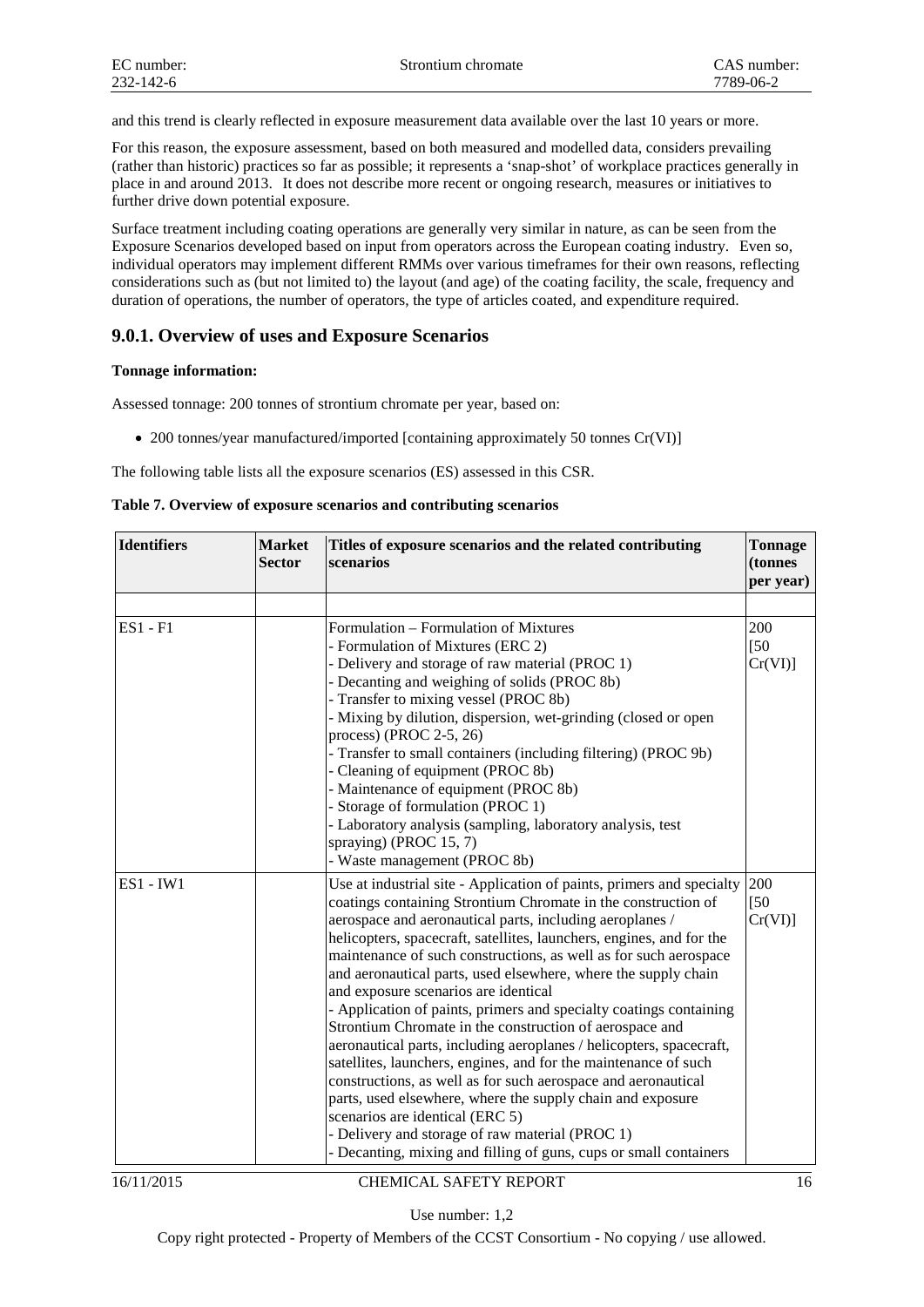and this trend is clearly reflected in exposure measurement data available over the last 10 years or more.

For this reason, the exposure assessment, based on both measured and modelled data, considers prevailing (rather than historic) practices so far as possible; it represents a 'snap-shot' of workplace practices generally in place in and around 2013. It does not describe more recent or ongoing research, measures or initiatives to further drive down potential exposure.

Surface treatment including coating operations are generally very similar in nature, as can be seen from the Exposure Scenarios developed based on input from operators across the European coating industry. Even so, individual operators may implement different RMMs over various timeframes for their own reasons, reflecting considerations such as (but not limited to) the layout (and age) of the coating facility, the scale, frequency and duration of operations, the number of operators, the type of articles coated, and expenditure required.

## **9.0.1. Overview of uses and Exposure Scenarios**

## **Tonnage information:**

Assessed tonnage: 200 tonnes of strontium chromate per year, based on:

• 200 tonnes/year manufactured/imported [containing approximately 50 tonnes Cr(VI)]

The following table lists all the exposure scenarios (ES) assessed in this CSR.

|  |  |  | Table 7. Overview of exposure scenarios and contributing scenarios |  |
|--|--|--|--------------------------------------------------------------------|--|
|  |  |  |                                                                    |  |

| <b>Identifiers</b> | <b>Market</b><br>Titles of exposure scenarios and the related contributing<br><b>Sector</b><br>scenarios                                                                                                                                                                                                                                                                                                                                                                                                                                                                                                                        |                                                                                                                                                                                                                                                                                                                                                                                                                                                                                                                                                                                                                                                                                                                                                                                                                                                                                                                                                                                                                               | <b>Tonnage</b><br>(tonnes<br>per year) |  |
|--------------------|---------------------------------------------------------------------------------------------------------------------------------------------------------------------------------------------------------------------------------------------------------------------------------------------------------------------------------------------------------------------------------------------------------------------------------------------------------------------------------------------------------------------------------------------------------------------------------------------------------------------------------|-------------------------------------------------------------------------------------------------------------------------------------------------------------------------------------------------------------------------------------------------------------------------------------------------------------------------------------------------------------------------------------------------------------------------------------------------------------------------------------------------------------------------------------------------------------------------------------------------------------------------------------------------------------------------------------------------------------------------------------------------------------------------------------------------------------------------------------------------------------------------------------------------------------------------------------------------------------------------------------------------------------------------------|----------------------------------------|--|
|                    |                                                                                                                                                                                                                                                                                                                                                                                                                                                                                                                                                                                                                                 |                                                                                                                                                                                                                                                                                                                                                                                                                                                                                                                                                                                                                                                                                                                                                                                                                                                                                                                                                                                                                               |                                        |  |
| <b>ES1 - F1</b>    | Formulation – Formulation of Mixtures<br>- Formulation of Mixtures (ERC 2)<br>- Delivery and storage of raw material (PROC 1)<br>- Decanting and weighing of solids (PROC 8b)<br>- Transfer to mixing vessel (PROC 8b)<br>- Mixing by dilution, dispersion, wet-grinding (closed or open<br>process) (PROC 2-5, 26)<br>- Transfer to small containers (including filtering) (PROC 9b)<br>- Cleaning of equipment (PROC 8b)<br>- Maintenance of equipment (PROC 8b)<br>- Storage of formulation (PROC 1)<br>- Laboratory analysis (sampling, laboratory analysis, test<br>spraying) (PROC 15, 7)<br>- Waste management (PROC 8b) |                                                                                                                                                                                                                                                                                                                                                                                                                                                                                                                                                                                                                                                                                                                                                                                                                                                                                                                                                                                                                               | 200<br>[50]<br>Cr(VI)                  |  |
| <b>ES1 - IW1</b>   |                                                                                                                                                                                                                                                                                                                                                                                                                                                                                                                                                                                                                                 | Use at industrial site - Application of paints, primers and specialty<br>coatings containing Strontium Chromate in the construction of<br>aerospace and aeronautical parts, including aeroplanes /<br>helicopters, spacecraft, satellites, launchers, engines, and for the<br>maintenance of such constructions, as well as for such aerospace<br>and aeronautical parts, used elsewhere, where the supply chain<br>and exposure scenarios are identical<br>- Application of paints, primers and specialty coatings containing<br>Strontium Chromate in the construction of aerospace and<br>aeronautical parts, including aeroplanes / helicopters, spacecraft,<br>satellites, launchers, engines, and for the maintenance of such<br>constructions, as well as for such aerospace and aeronautical<br>parts, used elsewhere, where the supply chain and exposure<br>scenarios are identical (ERC 5)<br>- Delivery and storage of raw material (PROC 1)<br>- Decanting, mixing and filling of guns, cups or small containers | 200<br>$[50$<br>Cr(VI)                 |  |

#### 16/11/2015 CHEMICAL SAFETY REPORT 16

Use number: 1,2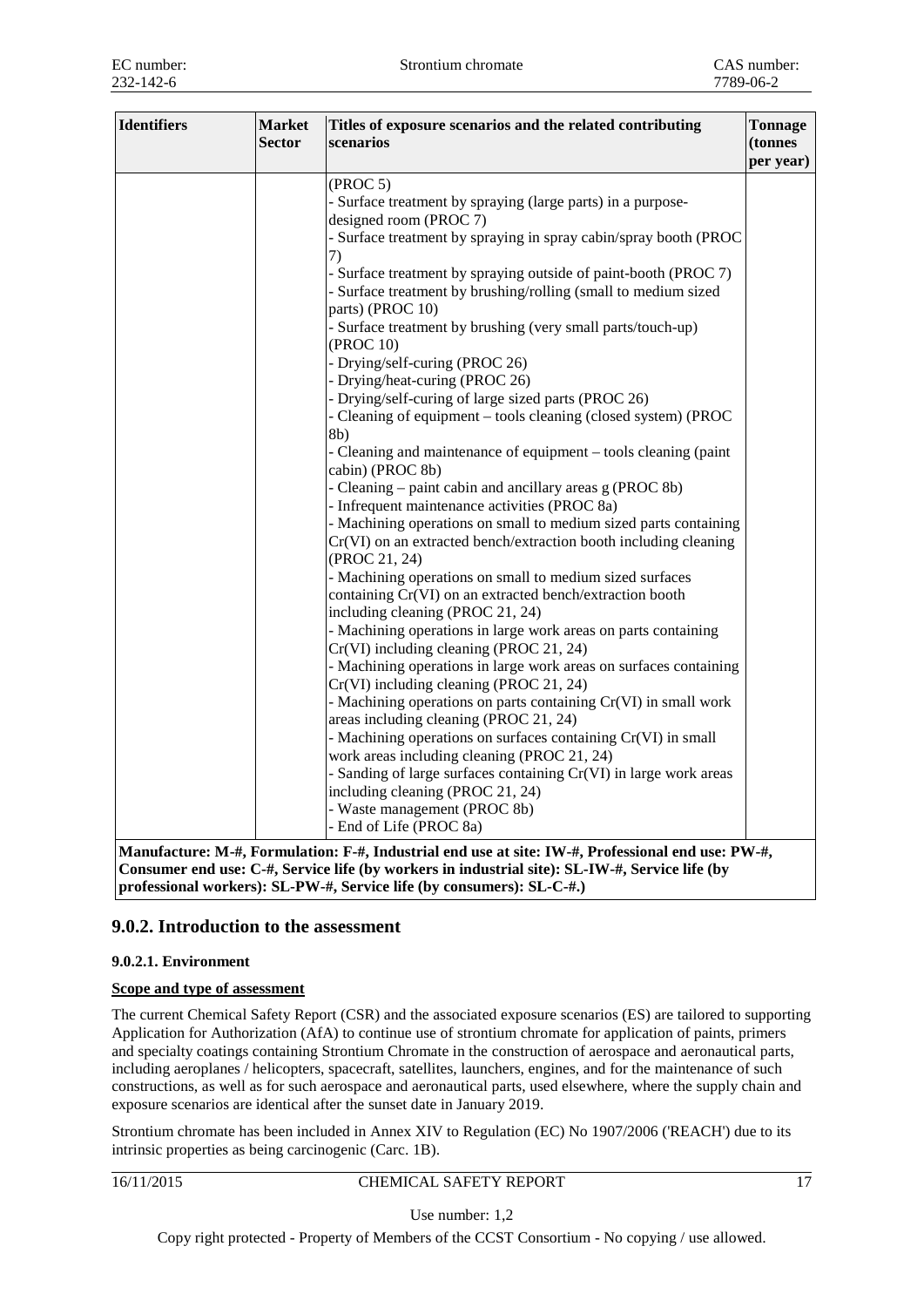| <b>Identifiers</b><br><b>Market</b><br><b>Sector</b><br>scenarios | Titles of exposure scenarios and the related contributing                                                                                                                                                                                                                                                                                                                                                                                                                                                                                                                                                                                                                                                                                                                                                                                                                                                                                                                                                                                                                                                                                                                                                                                                                                                                                                                                                                                                                                                                                                                                                                                                                               | Tonnage<br>(tonnes<br>per year) |
|-------------------------------------------------------------------|-----------------------------------------------------------------------------------------------------------------------------------------------------------------------------------------------------------------------------------------------------------------------------------------------------------------------------------------------------------------------------------------------------------------------------------------------------------------------------------------------------------------------------------------------------------------------------------------------------------------------------------------------------------------------------------------------------------------------------------------------------------------------------------------------------------------------------------------------------------------------------------------------------------------------------------------------------------------------------------------------------------------------------------------------------------------------------------------------------------------------------------------------------------------------------------------------------------------------------------------------------------------------------------------------------------------------------------------------------------------------------------------------------------------------------------------------------------------------------------------------------------------------------------------------------------------------------------------------------------------------------------------------------------------------------------------|---------------------------------|
| (PROC 5)<br>7)<br>8b)                                             | - Surface treatment by spraying (large parts) in a purpose-<br>designed room (PROC 7)<br>- Surface treatment by spraying in spray cabin/spray booth (PROC<br>- Surface treatment by spraying outside of paint-booth (PROC 7)<br>- Surface treatment by brushing/rolling (small to medium sized<br>parts) (PROC 10)<br>- Surface treatment by brushing (very small parts/touch-up)<br>(PROC 10)<br>- Drying/self-curing (PROC 26)<br>- Drying/heat-curing (PROC 26)<br>- Drying/self-curing of large sized parts (PROC 26)<br>- Cleaning of equipment - tools cleaning (closed system) (PROC<br>- Cleaning and maintenance of equipment – tools cleaning (paint<br>cabin) (PROC 8b)<br>- Cleaning – paint cabin and ancillary areas g (PROC 8b)<br>- Infrequent maintenance activities (PROC 8a)<br>- Machining operations on small to medium sized parts containing<br>Cr(VI) on an extracted bench/extraction booth including cleaning<br>(PROC 21, 24)<br>- Machining operations on small to medium sized surfaces<br>containing Cr(VI) on an extracted bench/extraction booth<br>including cleaning (PROC 21, 24)<br>- Machining operations in large work areas on parts containing<br>Cr(VI) including cleaning (PROC 21, 24)<br>- Machining operations in large work areas on surfaces containing<br>Cr(VI) including cleaning (PROC 21, 24)<br>- Machining operations on parts containing Cr(VI) in small work<br>areas including cleaning (PROC 21, 24)<br>- Machining operations on surfaces containing Cr(VI) in small<br>work areas including cleaning (PROC 21, 24)<br>- Sanding of large surfaces containing Cr(VI) in large work areas<br>including cleaning (PROC 21, 24) |                                 |
|                                                                   | - Waste management (PROC 8b)<br>- End of Life (PROC 8a)                                                                                                                                                                                                                                                                                                                                                                                                                                                                                                                                                                                                                                                                                                                                                                                                                                                                                                                                                                                                                                                                                                                                                                                                                                                                                                                                                                                                                                                                                                                                                                                                                                 |                                 |

**Consumer end use: C-#, Service life (by workers in industrial site): SL-IW-#, Service life (by professional workers): SL-PW-#, Service life (by consumers): SL-C-#.)**

## **9.0.2. Introduction to the assessment**

## **9.0.2.1. Environment**

## **Scope and type of assessment**

The current Chemical Safety Report (CSR) and the associated exposure scenarios (ES) are tailored to supporting Application for Authorization (AfA) to continue use of strontium chromate for application of paints, primers and specialty coatings containing Strontium Chromate in the construction of aerospace and aeronautical parts, including aeroplanes / helicopters, spacecraft, satellites, launchers, engines, and for the maintenance of such constructions, as well as for such aerospace and aeronautical parts, used elsewhere, where the supply chain and exposure scenarios are identical after the sunset date in January 2019.

Strontium chromate has been included in Annex XIV to Regulation (EC) No 1907/2006 ('REACH') due to its intrinsic properties as being carcinogenic (Carc. 1B).

16/11/2015 CHEMICAL SAFETY REPORT 17

Use number: 1,2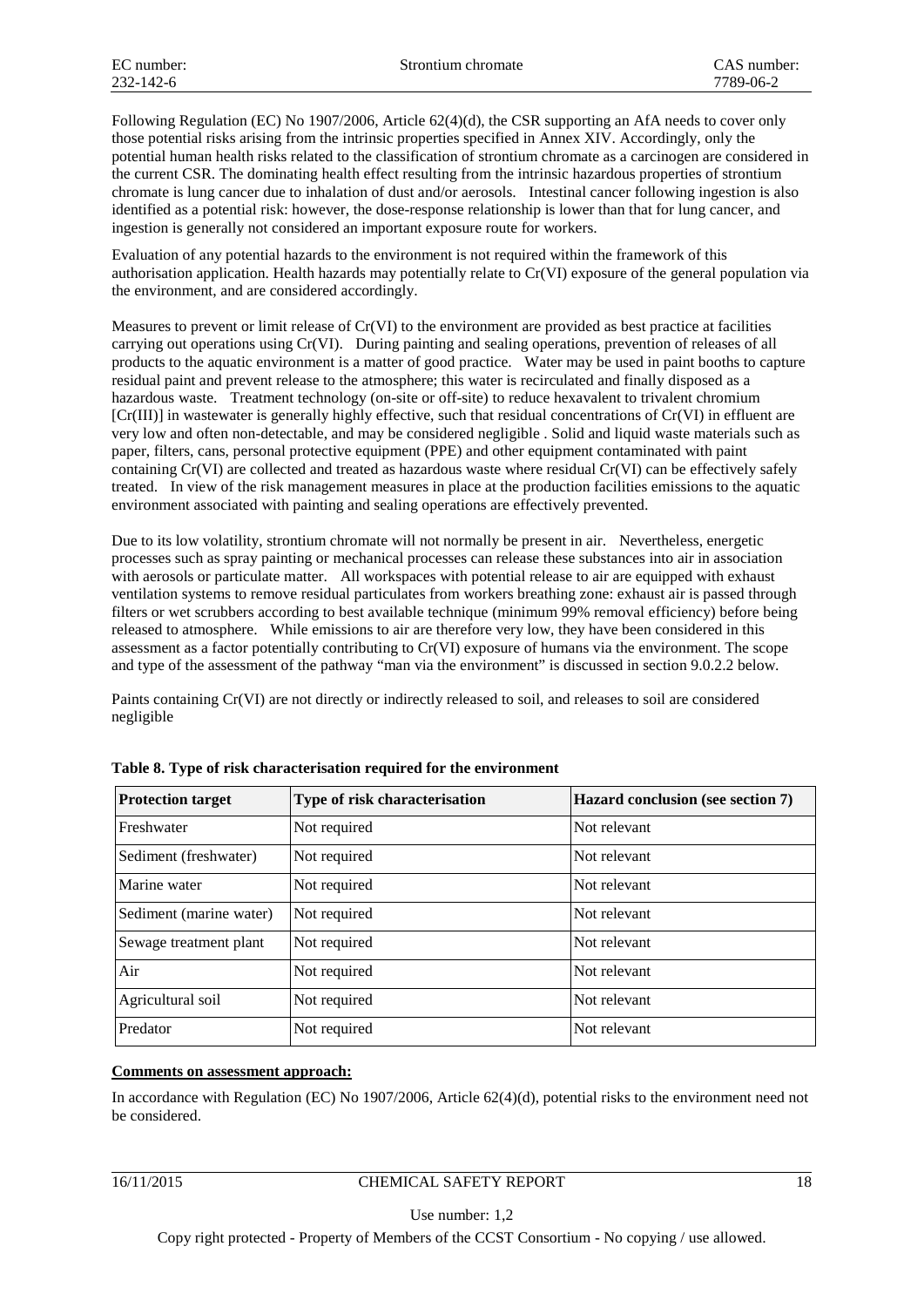Following Regulation (EC) No 1907/2006, Article 62(4)(d), the CSR supporting an AfA needs to cover only those potential risks arising from the intrinsic properties specified in Annex XIV. Accordingly, only the potential human health risks related to the classification of strontium chromate as a carcinogen are considered in the current CSR. The dominating health effect resulting from the intrinsic hazardous properties of strontium chromate is lung cancer due to inhalation of dust and/or aerosols. Intestinal cancer following ingestion is also identified as a potential risk: however, the dose-response relationship is lower than that for lung cancer, and ingestion is generally not considered an important exposure route for workers.

Evaluation of any potential hazards to the environment is not required within the framework of this authorisation application. Health hazards may potentially relate to Cr(VI) exposure of the general population via the environment, and are considered accordingly.

Measures to prevent or limit release of Cr(VI) to the environment are provided as best practice at facilities carrying out operations using Cr(VI). During painting and sealing operations, prevention of releases of all products to the aquatic environment is a matter of good practice. Water may be used in paint booths to capture residual paint and prevent release to the atmosphere; this water is recirculated and finally disposed as a hazardous waste. Treatment technology (on-site or off-site) to reduce hexavalent to trivalent chromium [Cr(III)] in wastewater is generally highly effective, such that residual concentrations of Cr(VI) in effluent are very low and often non-detectable, and may be considered negligible . Solid and liquid waste materials such as paper, filters, cans, personal protective equipment (PPE) and other equipment contaminated with paint containing Cr(VI) are collected and treated as hazardous waste where residual Cr(VI) can be effectively safely treated. In view of the risk management measures in place at the production facilities emissions to the aquatic environment associated with painting and sealing operations are effectively prevented.

Due to its low volatility, strontium chromate will not normally be present in air. Nevertheless, energetic processes such as spray painting or mechanical processes can release these substances into air in association with aerosols or particulate matter. All workspaces with potential release to air are equipped with exhaust ventilation systems to remove residual particulates from workers breathing zone: exhaust air is passed through filters or wet scrubbers according to best available technique (minimum 99% removal efficiency) before being released to atmosphere. While emissions to air are therefore very low, they have been considered in this assessment as a factor potentially contributing to Cr(VI) exposure of humans via the environment. The scope and type of the assessment of the pathway "man via the environment" is discussed in section 9.0.2.2 below.

Paints containing Cr(VI) are not directly or indirectly released to soil, and releases to soil are considered negligible

| <b>Protection target</b> | Type of risk characterisation | Hazard conclusion (see section 7) |
|--------------------------|-------------------------------|-----------------------------------|
| Freshwater               | Not required                  | Not relevant                      |
| Sediment (freshwater)    | Not required                  | Not relevant                      |
| Marine water             | Not required                  | Not relevant                      |
| Sediment (marine water)  | Not required                  | Not relevant                      |
| Sewage treatment plant   | Not required                  | Not relevant                      |
| Air                      | Not required                  | Not relevant                      |
| Agricultural soil        | Not required                  | Not relevant                      |
| Predator                 | Not required                  | Not relevant                      |

| Table 8. Type of risk characterisation required for the environment |  |  |  |
|---------------------------------------------------------------------|--|--|--|
|---------------------------------------------------------------------|--|--|--|

## **Comments on assessment approach:**

In accordance with Regulation (EC) No 1907/2006, Article 62(4)(d), potential risks to the environment need not be considered.

Use number: 1,2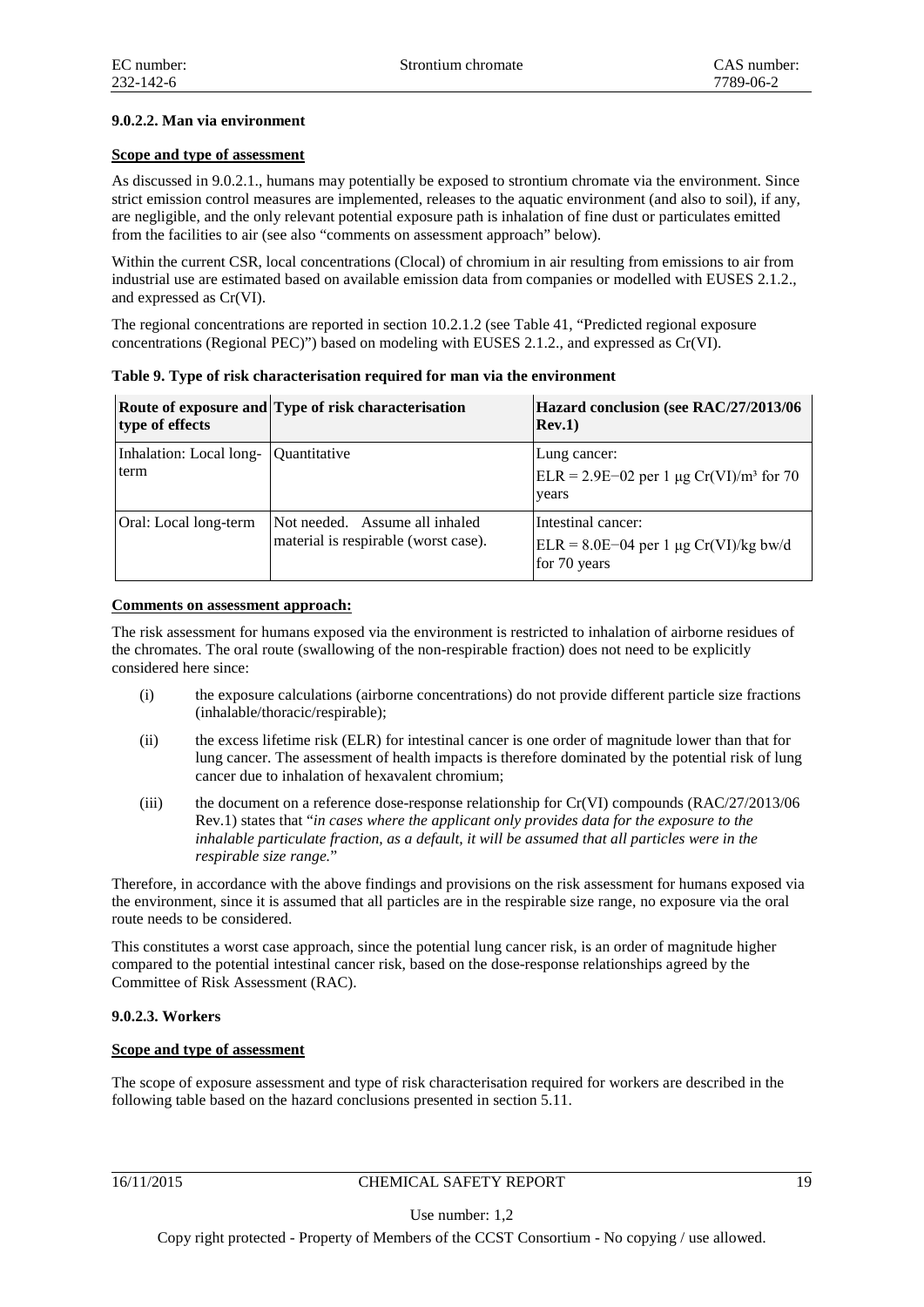## **9.0.2.2. Man via environment**

## **Scope and type of assessment**

As discussed in 9.0.2.1., humans may potentially be exposed to strontium chromate via the environment. Since strict emission control measures are implemented, releases to the aquatic environment (and also to soil), if any, are negligible, and the only relevant potential exposure path is inhalation of fine dust or particulates emitted from the facilities to air (see also "comments on assessment approach" below).

Within the current CSR, local concentrations (Clocal) of chromium in air resulting from emissions to air from industrial use are estimated based on available emission data from companies or modelled with EUSES 2.1.2., and expressed as Cr(VI).

The regional concentrations are reported in section 10.2.1.2 (see Table 41, "Predicted regional exposure concentrations (Regional PEC)") based on modeling with EUSES 2.1.2., and expressed as Cr(VI).

| type of effects                              | Route of exposure and Type of risk characterisation                    | Hazard conclusion (see RAC/27/2013/06<br>Rev.1)                               |
|----------------------------------------------|------------------------------------------------------------------------|-------------------------------------------------------------------------------|
| Inhalation: Local long- Quantitative<br>term |                                                                        | Lung cancer:<br>ELR = 2.9E-02 per 1 µg Cr(VI)/m <sup>3</sup> for 70<br>years  |
| Oral: Local long-term                        | Not needed. Assume all inhaled<br>material is respirable (worst case). | Intestinal cancer:<br>$ELR = 8.0E-04$ per 1 µg Cr(VI)/kg bw/d<br>for 70 years |

**Table 9. Type of risk characterisation required for man via the environment**

#### **Comments on assessment approach:**

The risk assessment for humans exposed via the environment is restricted to inhalation of airborne residues of the chromates. The oral route (swallowing of the non-respirable fraction) does not need to be explicitly considered here since:

- (i) the exposure calculations (airborne concentrations) do not provide different particle size fractions (inhalable/thoracic/respirable);
- (ii) the excess lifetime risk (ELR) for intestinal cancer is one order of magnitude lower than that for lung cancer. The assessment of health impacts is therefore dominated by the potential risk of lung cancer due to inhalation of hexavalent chromium;
- (iii) the document on a reference dose-response relationship for Cr(VI) compounds (RAC/27/2013/06 Rev.1) states that "*in cases where the applicant only provides data for the exposure to the inhalable particulate fraction, as a default, it will be assumed that all particles were in the respirable size range.*"

Therefore, in accordance with the above findings and provisions on the risk assessment for humans exposed via the environment, since it is assumed that all particles are in the respirable size range, no exposure via the oral route needs to be considered.

This constitutes a worst case approach, since the potential lung cancer risk, is an order of magnitude higher compared to the potential intestinal cancer risk, based on the dose-response relationships agreed by the Committee of Risk Assessment (RAC).

## **9.0.2.3. Workers**

## **Scope and type of assessment**

The scope of exposure assessment and type of risk characterisation required for workers are described in the following table based on the hazard conclusions presented in section 5.11.

## 16/11/2015 CHEMICAL SAFETY REPORT 19

Use number: 1,2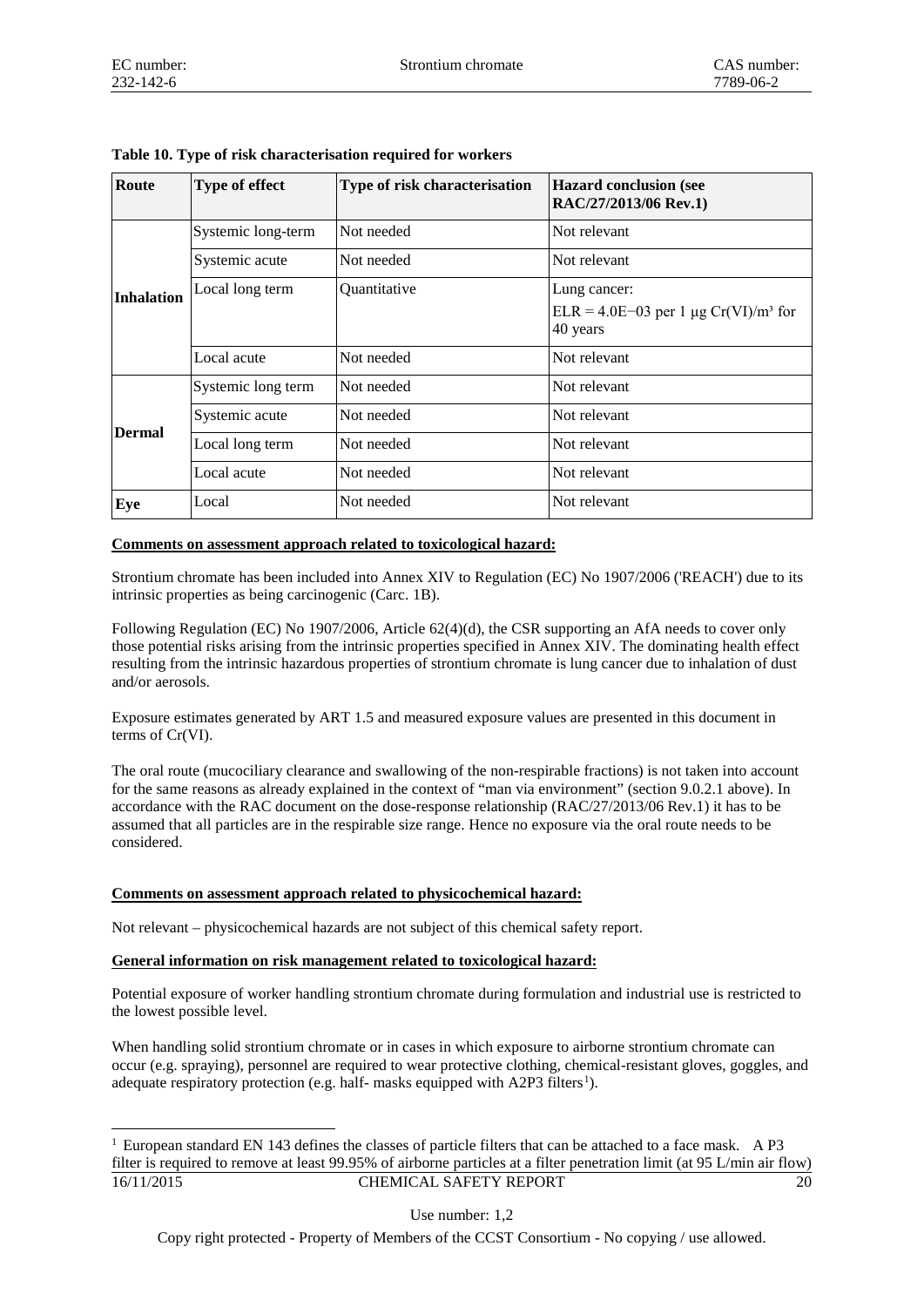| Route             | Type of effect     | Type of risk characterisation | <b>Hazard conclusion (see</b><br>RAC/27/2013/06 Rev.1)         |
|-------------------|--------------------|-------------------------------|----------------------------------------------------------------|
|                   | Systemic long-term | Not needed                    | Not relevant                                                   |
|                   | Systemic acute     | Not needed                    | Not relevant                                                   |
| <b>Inhalation</b> | Local long term    | Quantitative                  | Lung cancer:                                                   |
|                   |                    |                               | $ELR = 4.0E-03$ per 1 µg Cr(VI)/m <sup>3</sup> for<br>40 years |
|                   | Local acute        | Not needed                    | Not relevant                                                   |
|                   | Systemic long term | Not needed                    | Not relevant                                                   |
|                   | Systemic acute     | Not needed                    | Not relevant                                                   |
| <b>Dermal</b>     | Local long term    | Not needed                    | Not relevant                                                   |
|                   | Local acute        | Not needed                    | Not relevant                                                   |
| Eye               | Local              | Not needed                    | Not relevant                                                   |

**Table 10. Type of risk characterisation required for workers**

#### **Comments on assessment approach related to toxicological hazard:**

Strontium chromate has been included into Annex XIV to Regulation (EC) No 1907/2006 ('REACH') due to its intrinsic properties as being carcinogenic (Carc. 1B).

Following Regulation (EC) No 1907/2006, Article 62(4)(d), the CSR supporting an AfA needs to cover only those potential risks arising from the intrinsic properties specified in Annex XIV. The dominating health effect resulting from the intrinsic hazardous properties of strontium chromate is lung cancer due to inhalation of dust and/or aerosols.

Exposure estimates generated by ART 1.5 and measured exposure values are presented in this document in terms of Cr(VI).

The oral route (mucociliary clearance and swallowing of the non-respirable fractions) is not taken into account for the same reasons as already explained in the context of "man via environment" (section 9.0.2.1 above). In accordance with the RAC document on the dose-response relationship (RAC/27/2013/06 Rev.1) it has to be assumed that all particles are in the respirable size range. Hence no exposure via the oral route needs to be considered.

## **Comments on assessment approach related to physicochemical hazard:**

Not relevant – physicochemical hazards are not subject of this chemical safety report.

## **General information on risk management related to toxicological hazard:**

Potential exposure of worker handling strontium chromate during formulation and industrial use is restricted to the lowest possible level.

When handling solid strontium chromate or in cases in which exposure to airborne strontium chromate can occur (e.g. spraying), personnel are required to wear protective clothing, chemical-resistant gloves, goggles, and adequate respiratory protection (e.g. half- masks equipped with A2P3 filters<sup>[1](#page-6-0)</sup>).

Use number: 1,2

<span id="page-6-0"></span><sup>16/11/2015</sup> CHEMICAL SAFETY REPORT 20 1 European standard EN 143 defines the classes of particle filters that can be attached to a face mask. A P3 filter is required to remove at least 99.95% of airborne particles at a filter penetration limit (at 95 L/min air flow)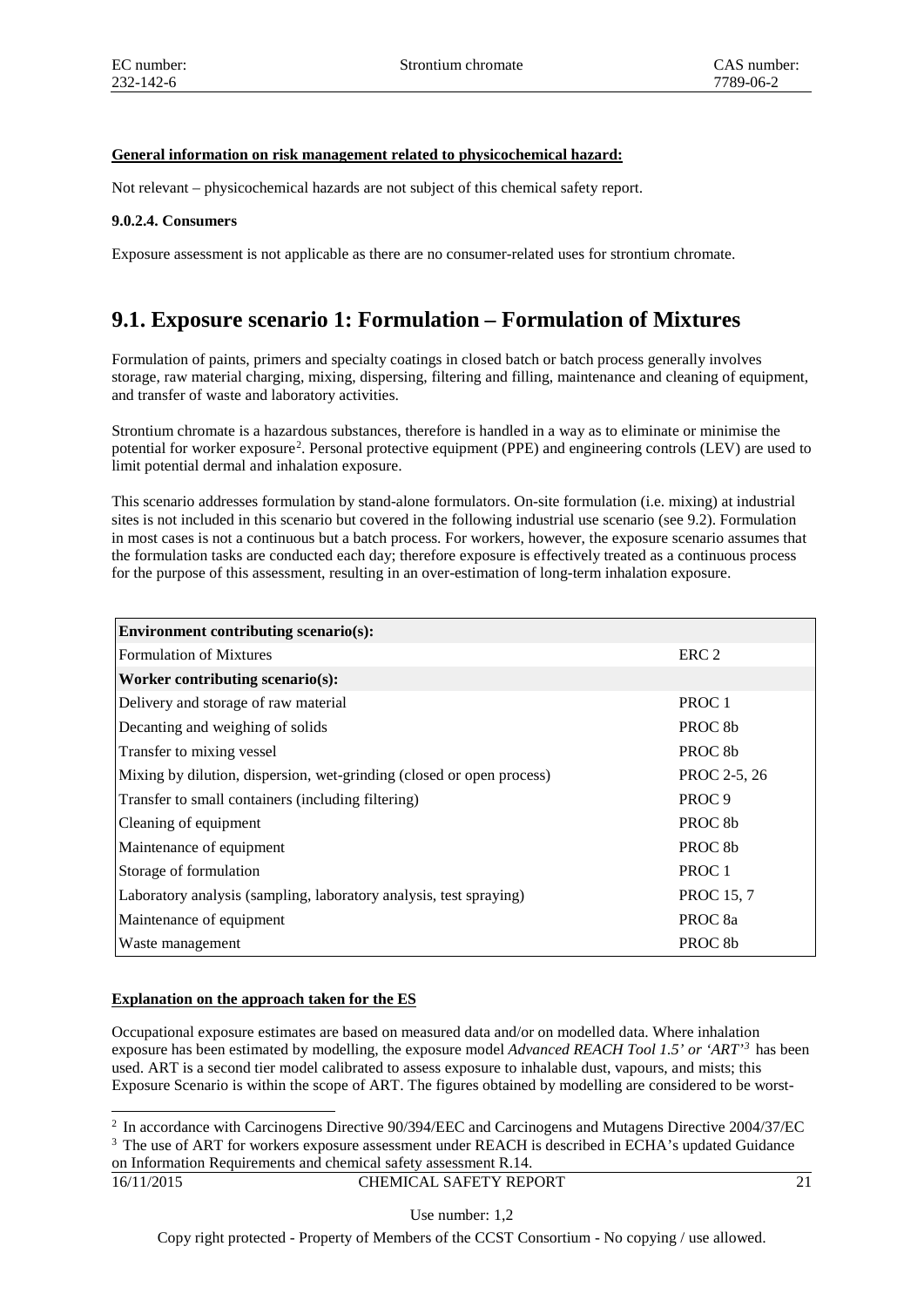## **General information on risk management related to physicochemical hazard:**

Not relevant – physicochemical hazards are not subject of this chemical safety report.

## **9.0.2.4. Consumers**

Exposure assessment is not applicable as there are no consumer-related uses for strontium chromate.

## **9.1. Exposure scenario 1: Formulation – Formulation of Mixtures**

Formulation of paints, primers and specialty coatings in closed batch or batch process generally involves storage, raw material charging, mixing, dispersing, filtering and filling, maintenance and cleaning of equipment, and transfer of waste and laboratory activities.

Strontium chromate is a hazardous substances, therefore is handled in a way as to eliminate or minimise the potential for worker exposure<sup>[2](#page-7-0)</sup>. Personal protective equipment (PPE) and engineering controls (LEV) are used to limit potential dermal and inhalation exposure.

This scenario addresses formulation by stand-alone formulators. On-site formulation (i.e. mixing) at industrial sites is not included in this scenario but covered in the following industrial use scenario (see 9.2). Formulation in most cases is not a continuous but a batch process. For workers, however, the exposure scenario assumes that the formulation tasks are conducted each day; therefore exposure is effectively treated as a continuous process for the purpose of this assessment, resulting in an over-estimation of long-term inhalation exposure.

| Environment contributing scenario(s):                                 |                     |
|-----------------------------------------------------------------------|---------------------|
| <b>Formulation of Mixtures</b>                                        | ERC <sub>2</sub>    |
| Worker contributing scenario(s):                                      |                     |
| Delivery and storage of raw material                                  | PROC <sub>1</sub>   |
| Decanting and weighing of solids                                      | PROC 8b             |
| Transfer to mixing vessel                                             | PROC <sub>8b</sub>  |
| Mixing by dilution, dispersion, wet-grinding (closed or open process) | PROC 2-5, 26        |
| Transfer to small containers (including filtering)                    | PROC <sub>9</sub>   |
| Cleaning of equipment                                                 | PROC 8b             |
| Maintenance of equipment                                              | PROC <sub>8</sub> b |
| Storage of formulation                                                | PROC <sub>1</sub>   |
| Laboratory analysis (sampling, laboratory analysis, test spraying)    | <b>PROC</b> 15, 7   |
| Maintenance of equipment                                              | PROC <sub>8a</sub>  |
| Waste management                                                      | PROC <sub>8b</sub>  |

## **Explanation on the approach taken for the ES**

Occupational exposure estimates are based on measured data and/or on modelled data. Where inhalation exposure has been estimated by modelling, the exposure model *Advanced REACH Tool 1.5' or 'ART'[3](#page-7-1)* has been used. ART is a second tier model calibrated to assess exposure to inhalable dust, vapours, and mists; this Exposure Scenario is within the scope of ART. The figures obtained by modelling are considered to be worst-

on Information Requirements and chemical safety assessment R.14.

<span id="page-7-1"></span><span id="page-7-0"></span> <sup>2</sup> In accordance with Carcinogens Directive 90/394/EEC and Carcinogens and Mutagens Directive 2004/37/EC <sup>3</sup> The use of ART for workers exposure assessment under REACH is described in ECHA's updated Guidance

<sup>16/11/2015</sup> CHEMICAL SAFETY REPORT 21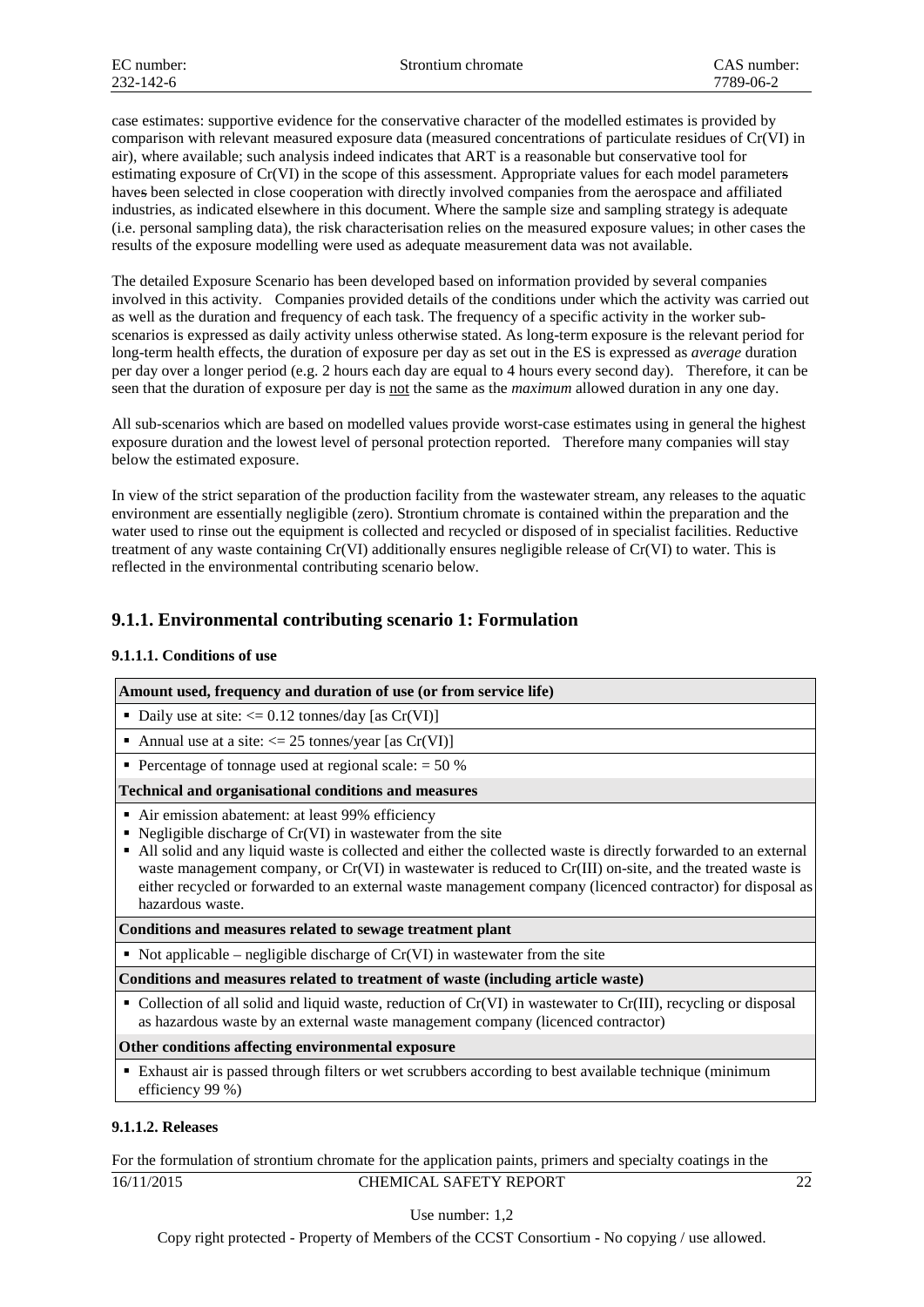case estimates: supportive evidence for the conservative character of the modelled estimates is provided by comparison with relevant measured exposure data (measured concentrations of particulate residues of Cr(VI) in air), where available; such analysis indeed indicates that ART is a reasonable but conservative tool for estimating exposure of Cr(VI) in the scope of this assessment. Appropriate values for each model parameters haves been selected in close cooperation with directly involved companies from the aerospace and affiliated industries, as indicated elsewhere in this document. Where the sample size and sampling strategy is adequate (i.e. personal sampling data), the risk characterisation relies on the measured exposure values; in other cases the results of the exposure modelling were used as adequate measurement data was not available.

The detailed Exposure Scenario has been developed based on information provided by several companies involved in this activity. Companies provided details of the conditions under which the activity was carried out as well as the duration and frequency of each task. The frequency of a specific activity in the worker subscenarios is expressed as daily activity unless otherwise stated. As long-term exposure is the relevant period for long-term health effects, the duration of exposure per day as set out in the ES is expressed as *average* duration per day over a longer period (e.g. 2 hours each day are equal to 4 hours every second day). Therefore, it can be seen that the duration of exposure per day is not the same as the *maximum* allowed duration in any one day.

All sub-scenarios which are based on modelled values provide worst-case estimates using in general the highest exposure duration and the lowest level of personal protection reported. Therefore many companies will stay below the estimated exposure.

In view of the strict separation of the production facility from the wastewater stream, any releases to the aquatic environment are essentially negligible (zero). Strontium chromate is contained within the preparation and the water used to rinse out the equipment is collected and recycled or disposed of in specialist facilities. Reductive treatment of any waste containing Cr(VI) additionally ensures negligible release of Cr(VI) to water. This is reflected in the environmental contributing scenario below.

## **9.1.1. Environmental contributing scenario 1: Formulation**

## **9.1.1.1. Conditions of use**

| Amount used, frequency and duration of use (or from service life)                                                                                                                                                                                                                                                                                                                                                                                                                                                                                         |
|-----------------------------------------------------------------------------------------------------------------------------------------------------------------------------------------------------------------------------------------------------------------------------------------------------------------------------------------------------------------------------------------------------------------------------------------------------------------------------------------------------------------------------------------------------------|
| • Daily use at site: $\langle 0.12 \text{ tonnes/day} \, [\text{as Cr(VI)}]$                                                                                                                                                                                                                                                                                                                                                                                                                                                                              |
| • Annual use at a site: $\langle 25 \text{ tonnes/year}$ [as Cr(VI)]                                                                                                                                                                                                                                                                                                                                                                                                                                                                                      |
| • Percentage of tonnage used at regional scale: $= 50\%$                                                                                                                                                                                                                                                                                                                                                                                                                                                                                                  |
| <b>Technical and organisational conditions and measures</b>                                                                                                                                                                                                                                                                                                                                                                                                                                                                                               |
| Air emission abatement: at least 99% efficiency<br>• Negligible discharge of $Cr(VI)$ in wastewater from the site<br>All solid and any liquid waste is collected and either the collected waste is directly forwarded to an external<br>٠<br>waste management company, or $Cr(VI)$ in wastewater is reduced to $Cr(III)$ on-site, and the treated waste is<br>either recycled or forwarded to an external waste management company (licenced contractor) for disposal as<br>hazardous waste.<br>Conditions and measures related to sewage treatment plant |

Not applicable – negligible discharge of  $Cr(VI)$  in wastewater from the site

**Conditions and measures related to treatment of waste (including article waste)**

 Collection of all solid and liquid waste, reduction of Cr(VI) in wastewater to Cr(III), recycling or disposal as hazardous waste by an external waste management company (licenced contractor)

## **Other conditions affecting environmental exposure**

 Exhaust air is passed through filters or wet scrubbers according to best available technique (minimum efficiency 99 %)

## **9.1.1.2. Releases**

16/11/2015 CHEMICAL SAFETY REPORT 22 For the formulation of strontium chromate for the application paints, primers and specialty coatings in the

Use number: 1,2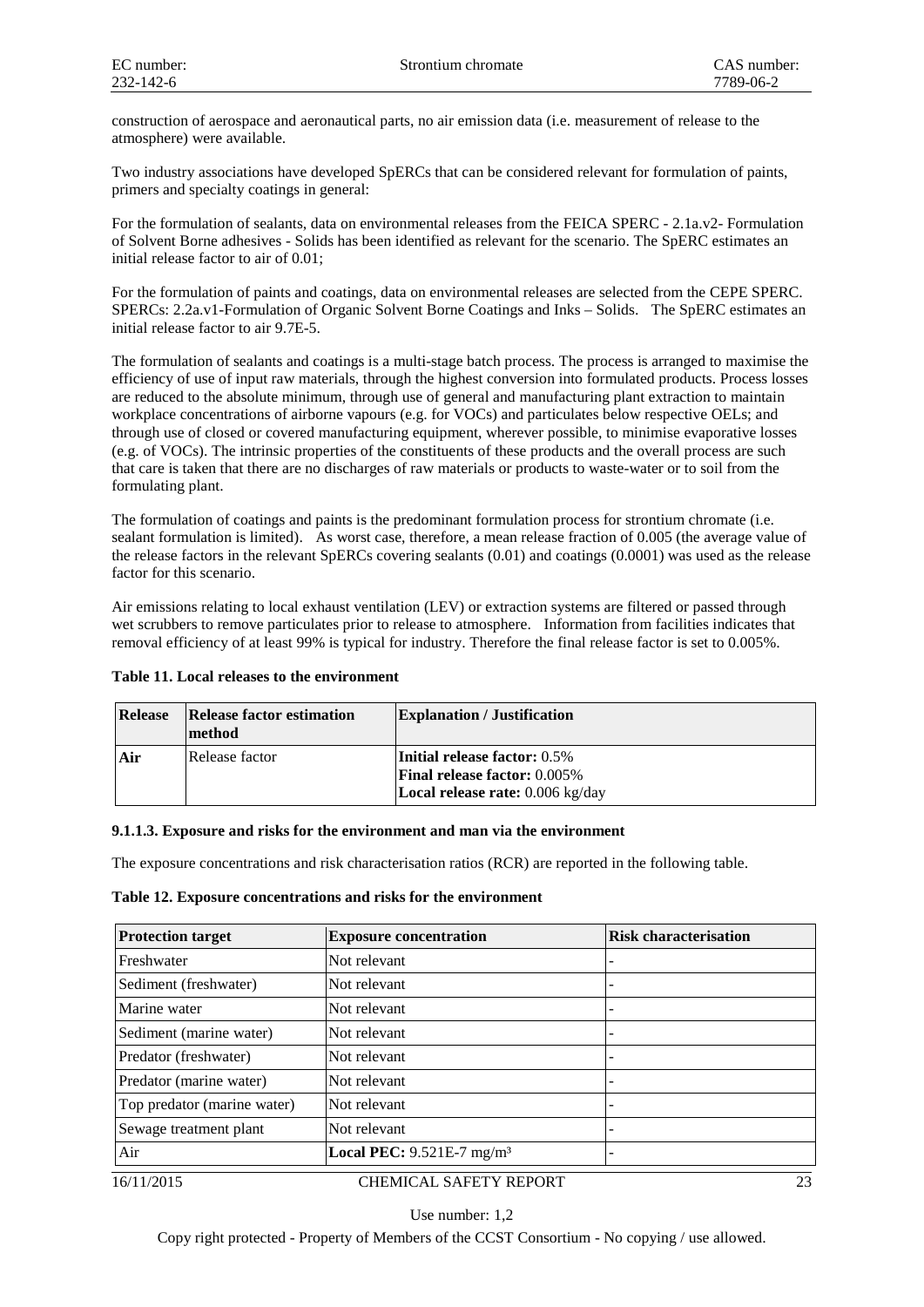construction of aerospace and aeronautical parts, no air emission data (i.e. measurement of release to the atmosphere) were available.

Two industry associations have developed SpERCs that can be considered relevant for formulation of paints, primers and specialty coatings in general:

For the formulation of sealants, data on environmental releases from the FEICA SPERC - 2.1a.v2- Formulation of Solvent Borne adhesives - Solids has been identified as relevant for the scenario. The SpERC estimates an initial release factor to air of 0.01;

For the formulation of paints and coatings, data on environmental releases are selected from the CEPE SPERC. SPERCs: 2.2a.v1-Formulation of Organic Solvent Borne Coatings and Inks – Solids. The SpERC estimates an initial release factor to air 9.7E-5.

The formulation of sealants and coatings is a multi-stage batch process. The process is arranged to maximise the efficiency of use of input raw materials, through the highest conversion into formulated products. Process losses are reduced to the absolute minimum, through use of general and manufacturing plant extraction to maintain workplace concentrations of airborne vapours (e.g. for VOCs) and particulates below respective OELs; and through use of closed or covered manufacturing equipment, wherever possible, to minimise evaporative losses (e.g. of VOCs). The intrinsic properties of the constituents of these products and the overall process are such that care is taken that there are no discharges of raw materials or products to waste-water or to soil from the formulating plant.

The formulation of coatings and paints is the predominant formulation process for strontium chromate (i.e. sealant formulation is limited). As worst case, therefore, a mean release fraction of 0.005 (the average value of the release factors in the relevant SpERCs covering sealants (0.01) and coatings (0.0001) was used as the release factor for this scenario.

Air emissions relating to local exhaust ventilation (LEV) or extraction systems are filtered or passed through wet scrubbers to remove particulates prior to release to atmosphere. Information from facilities indicates that removal efficiency of at least 99% is typical for industry. Therefore the final release factor is set to 0.005%.

## **Table 11. Local releases to the environment**

| <b>Release</b> | Release factor estimation<br>method | <b>Explanation</b> / Justification                |
|----------------|-------------------------------------|---------------------------------------------------|
| Air            | Release factor                      | <b>Initial release factor:</b> 0.5%               |
|                |                                     | <b>Final release factor: 0.005%</b>               |
|                |                                     | <b>Local release rate:</b> $0.006 \text{ kg/day}$ |

#### **9.1.1.3. Exposure and risks for the environment and man via the environment**

The exposure concentrations and risk characterisation ratios (RCR) are reported in the following table.

|  |  | Table 12. Exposure concentrations and risks for the environment |  |  |  |
|--|--|-----------------------------------------------------------------|--|--|--|
|--|--|-----------------------------------------------------------------|--|--|--|

| <b>Protection target</b>    | <b>Exposure concentration</b>           | <b>Risk characterisation</b> |
|-----------------------------|-----------------------------------------|------------------------------|
| Freshwater                  | Not relevant                            |                              |
| Sediment (freshwater)       | Not relevant                            |                              |
| Marine water                | Not relevant                            |                              |
| Sediment (marine water)     | Not relevant                            |                              |
| Predator (freshwater)       | Not relevant                            |                              |
| Predator (marine water)     | Not relevant                            |                              |
| Top predator (marine water) | Not relevant                            |                              |
| Sewage treatment plant      | Not relevant                            |                              |
| Air                         | Local PEC: $9.521E-7$ mg/m <sup>3</sup> |                              |

#### 16/11/2015 CHEMICAL SAFETY REPORT 23

Use number: 1,2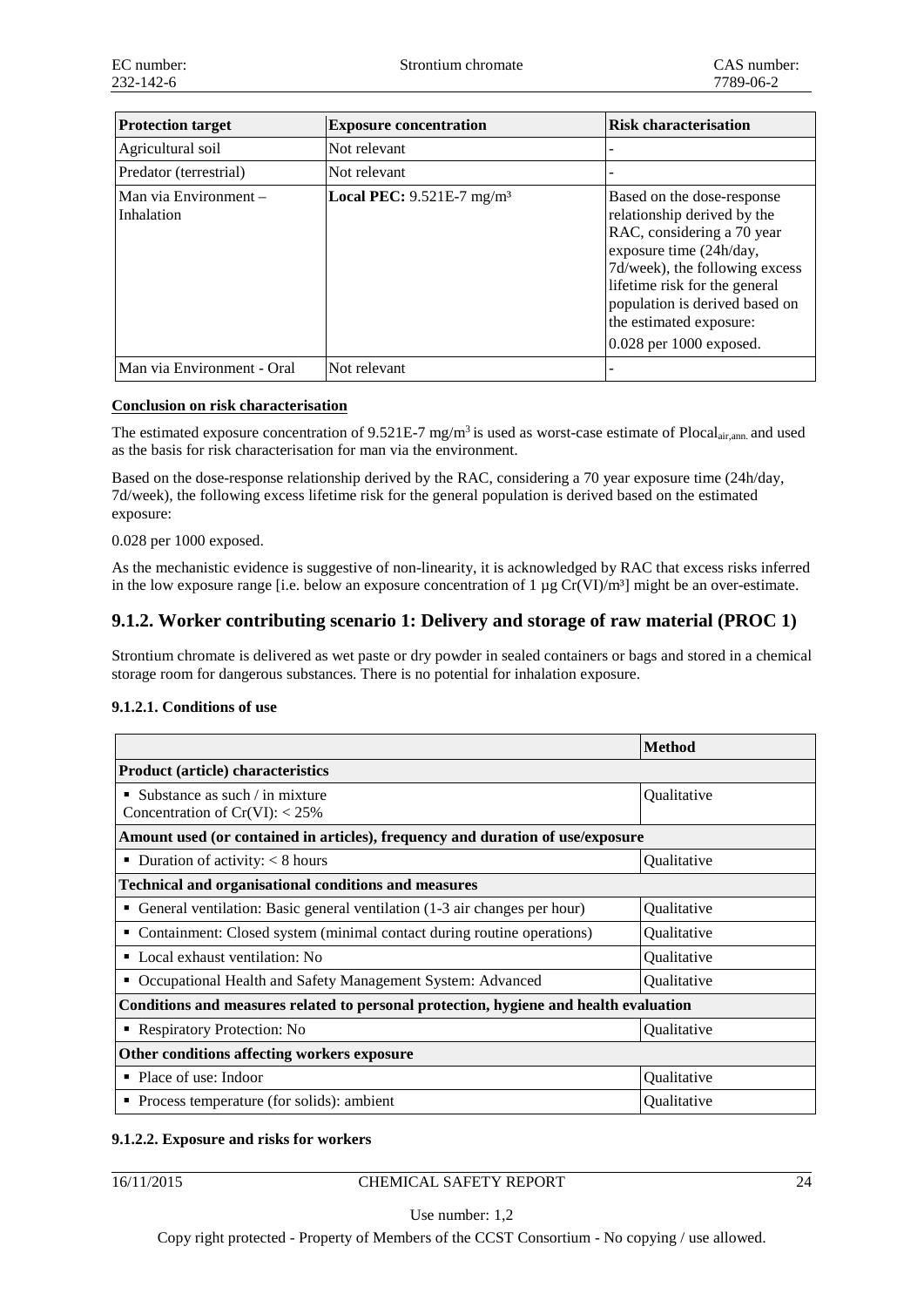| <b>Protection target</b>            | <b>Exposure concentration</b>           | <b>Risk characterisation</b>                                                                                                                                                                                                                                                  |
|-------------------------------------|-----------------------------------------|-------------------------------------------------------------------------------------------------------------------------------------------------------------------------------------------------------------------------------------------------------------------------------|
| Agricultural soil                   | Not relevant                            |                                                                                                                                                                                                                                                                               |
| Predator (terrestrial)              | Not relevant                            |                                                                                                                                                                                                                                                                               |
| Man via Environment -<br>Inhalation | Local PEC: $9.521E-7$ mg/m <sup>3</sup> | Based on the dose-response<br>relationship derived by the<br>RAC, considering a 70 year<br>exposure time (24h/day,<br>7d/week), the following excess<br>lifetime risk for the general<br>population is derived based on<br>the estimated exposure:<br>0.028 per 1000 exposed. |
| Man via Environment - Oral          | Not relevant                            |                                                                                                                                                                                                                                                                               |

## **Conclusion on risk characterisation**

The estimated exposure concentration of  $9.521E-7$  mg/m<sup>3</sup> is used as worst-case estimate of Plocal<sub>air,ann</sub> and used as the basis for risk characterisation for man via the environment.

Based on the dose-response relationship derived by the RAC, considering a 70 year exposure time (24h/day, 7d/week), the following excess lifetime risk for the general population is derived based on the estimated exposure:

## 0.028 per 1000 exposed.

As the mechanistic evidence is suggestive of non-linearity, it is acknowledged by RAC that excess risks inferred in the low exposure range [i.e. below an exposure concentration of 1  $\mu$ g Cr(VI)/m<sup>3</sup>] might be an over-estimate.

## **9.1.2. Worker contributing scenario 1: Delivery and storage of raw material (PROC 1)**

Strontium chromate is delivered as wet paste or dry powder in sealed containers or bags and stored in a chemical storage room for dangerous substances. There is no potential for inhalation exposure.

## **9.1.2.1. Conditions of use**

|                                                                                       | <b>Method</b> |  |  |
|---------------------------------------------------------------------------------------|---------------|--|--|
| <b>Product (article) characteristics</b>                                              |               |  |  |
| Substance as such / in mixture<br>٠<br>Concentration of $Cr(VI): < 25\%$              | Qualitative   |  |  |
| Amount used (or contained in articles), frequency and duration of use/exposure        |               |  |  |
| Duration of activity: $< 8$ hours<br>٠                                                | Qualitative   |  |  |
| <b>Technical and organisational conditions and measures</b>                           |               |  |  |
| General ventilation: Basic general ventilation (1-3 air changes per hour)<br>٠        | Qualitative   |  |  |
| Containment: Closed system (minimal contact during routine operations)<br>٠           | Qualitative   |  |  |
| Local exhaust ventilation: No<br>٠                                                    | Qualitative   |  |  |
| Occupational Health and Safety Management System: Advanced<br>٠                       | Qualitative   |  |  |
| Conditions and measures related to personal protection, hygiene and health evaluation |               |  |  |
| • Respiratory Protection: No                                                          | Qualitative   |  |  |
| Other conditions affecting workers exposure                                           |               |  |  |
| $\blacksquare$ Place of use: Indoor                                                   | Qualitative   |  |  |
| • Process temperature (for solids): ambient                                           | Qualitative   |  |  |

## **9.1.2.2. Exposure and risks for workers**

## 16/11/2015 CHEMICAL SAFETY REPORT 24

Use number: 1,2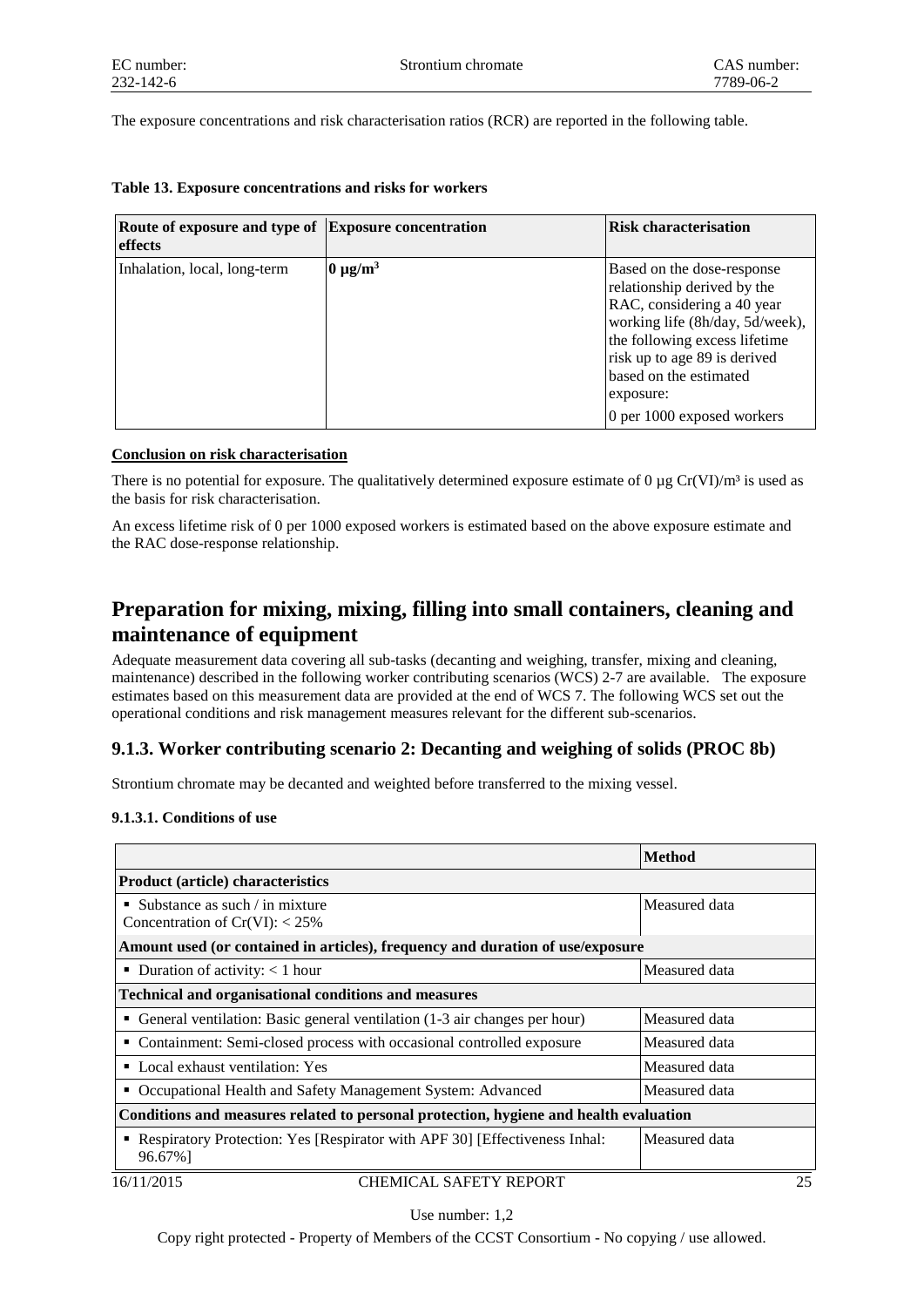The exposure concentrations and risk characterisation ratios (RCR) are reported in the following table.

| Route of exposure and type of Exposure concentration<br>effects |               | <b>Risk characterisation</b>                                                                                                                                                                                                                                     |
|-----------------------------------------------------------------|---------------|------------------------------------------------------------------------------------------------------------------------------------------------------------------------------------------------------------------------------------------------------------------|
| Inhalation, local, long-term                                    | $0 \mu g/m^3$ | Based on the dose-response<br>relationship derived by the<br>RAC, considering a 40 year<br>working life (8h/day, 5d/week),<br>the following excess lifetime<br>risk up to age 89 is derived<br>based on the estimated<br>exposure:<br>0 per 1000 exposed workers |

|  | Table 13. Exposure concentrations and risks for workers |  |  |
|--|---------------------------------------------------------|--|--|
|--|---------------------------------------------------------|--|--|

## **Conclusion on risk characterisation**

There is no potential for exposure. The qualitatively determined exposure estimate of 0  $\mu$ g Cr(VI)/m<sup>3</sup> is used as the basis for risk characterisation.

An excess lifetime risk of 0 per 1000 exposed workers is estimated based on the above exposure estimate and the RAC dose-response relationship.

## **Preparation for mixing, mixing, filling into small containers, cleaning and maintenance of equipment**

Adequate measurement data covering all sub-tasks (decanting and weighing, transfer, mixing and cleaning, maintenance) described in the following worker contributing scenarios (WCS) 2-7 are available. The exposure estimates based on this measurement data are provided at the end of WCS 7. The following WCS set out the operational conditions and risk management measures relevant for the different sub-scenarios.

## **9.1.3. Worker contributing scenario 2: Decanting and weighing of solids (PROC 8b)**

Strontium chromate may be decanted and weighted before transferred to the mixing vessel.

## **9.1.3.1. Conditions of use**

|                                                                                         | <b>Method</b> |
|-----------------------------------------------------------------------------------------|---------------|
| <b>Product (article) characteristics</b>                                                |               |
| ■ Substance as such $\ell$ in mixture<br>Concentration of $Cr(VI): < 25\%$              | Measured data |
| Amount used (or contained in articles), frequency and duration of use/exposure          |               |
| • Duration of activity: $< 1$ hour                                                      | Measured data |
| <b>Technical and organisational conditions and measures</b>                             |               |
| • General ventilation: Basic general ventilation (1-3 air changes per hour)             | Measured data |
| • Containment: Semi-closed process with occasional controlled exposure                  | Measured data |
| • Local exhaust ventilation: Yes                                                        | Measured data |
| • Occupational Health and Safety Management System: Advanced                            | Measured data |
| Conditions and measures related to personal protection, hygiene and health evaluation   |               |
| • Respiratory Protection: Yes [Respirator with APF 30] [Effectiveness Inhal:<br>96.67%] | Measured data |
| <b>CHEMICAL SAFETY REPORT</b><br>16/11/2015                                             | 25            |

Use number: 1,2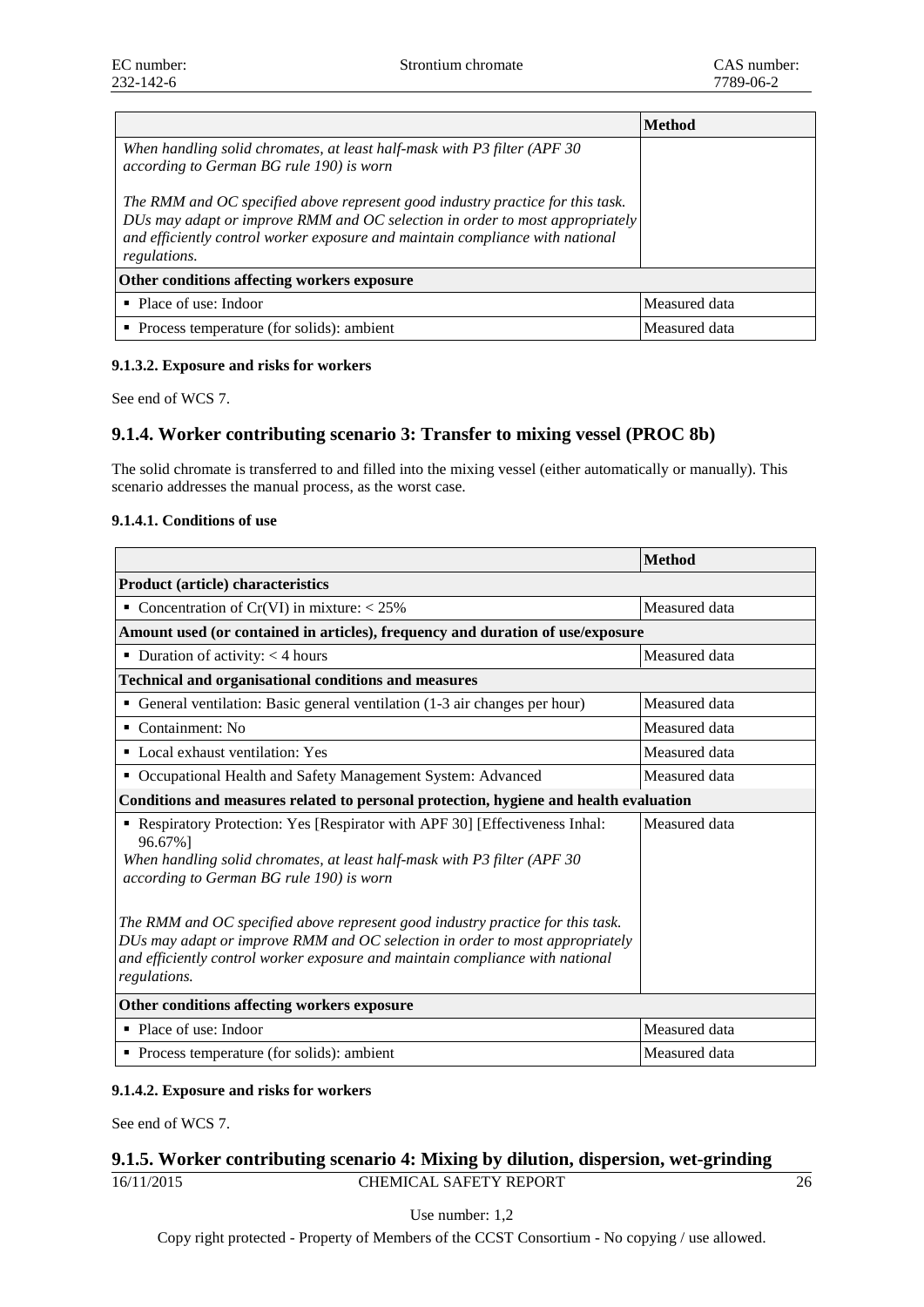|                                                                                                                                                                                                                                                                 | Method        |  |
|-----------------------------------------------------------------------------------------------------------------------------------------------------------------------------------------------------------------------------------------------------------------|---------------|--|
| When handling solid chromates, at least half-mask with P3 filter (APF 30)<br>according to German BG rule 190) is worn                                                                                                                                           |               |  |
| The RMM and OC specified above represent good industry practice for this task.<br>DUs may adapt or improve RMM and OC selection in order to most appropriately<br>and efficiently control worker exposure and maintain compliance with national<br>regulations. |               |  |
| Other conditions affecting workers exposure                                                                                                                                                                                                                     |               |  |
| • Place of use: Indoor                                                                                                                                                                                                                                          | Measured data |  |
| • Process temperature (for solids): ambient                                                                                                                                                                                                                     | Measured data |  |

## **9.1.3.2. Exposure and risks for workers**

See end of WCS 7.

## **9.1.4. Worker contributing scenario 3: Transfer to mixing vessel (PROC 8b)**

The solid chromate is transferred to and filled into the mixing vessel (either automatically or manually). This scenario addresses the manual process, as the worst case.

## **9.1.4.1. Conditions of use**

|                                                                                                                                                                                                                                                                 | <b>Method</b> |  |  |
|-----------------------------------------------------------------------------------------------------------------------------------------------------------------------------------------------------------------------------------------------------------------|---------------|--|--|
| <b>Product (article) characteristics</b>                                                                                                                                                                                                                        |               |  |  |
| Concentration of Cr(VI) in mixture: $<$ 25%<br>٠                                                                                                                                                                                                                | Measured data |  |  |
| Amount used (or contained in articles), frequency and duration of use/exposure                                                                                                                                                                                  |               |  |  |
| $\blacksquare$ Duration of activity: < 4 hours                                                                                                                                                                                                                  | Measured data |  |  |
| <b>Technical and organisational conditions and measures</b>                                                                                                                                                                                                     |               |  |  |
| General ventilation: Basic general ventilation (1-3 air changes per hour)<br>٠                                                                                                                                                                                  | Measured data |  |  |
| $\blacksquare$ Containment: No                                                                                                                                                                                                                                  | Measured data |  |  |
| • Local exhaust ventilation: Yes                                                                                                                                                                                                                                | Measured data |  |  |
| Occupational Health and Safety Management System: Advanced<br>٠                                                                                                                                                                                                 | Measured data |  |  |
| Conditions and measures related to personal protection, hygiene and health evaluation                                                                                                                                                                           |               |  |  |
| Respiratory Protection: Yes [Respirator with APF 30] [Effectiveness Inhal:<br>96.67%]<br>When handling solid chromates, at least half-mask with P3 filter (APF 30<br>according to German BG rule 190) is worn                                                   | Measured data |  |  |
| The RMM and OC specified above represent good industry practice for this task.<br>DUs may adapt or improve RMM and OC selection in order to most appropriately<br>and efficiently control worker exposure and maintain compliance with national<br>regulations. |               |  |  |
| Other conditions affecting workers exposure                                                                                                                                                                                                                     |               |  |  |
| • Place of use: Indoor                                                                                                                                                                                                                                          | Measured data |  |  |
| • Process temperature (for solids): ambient                                                                                                                                                                                                                     | Measured data |  |  |

## **9.1.4.2. Exposure and risks for workers**

See end of WCS 7.

## 16/11/2015 CHEMICAL SAFETY REPORT 26 **9.1.5. Worker contributing scenario 4: Mixing by dilution, dispersion, wet-grinding**

Use number: 1,2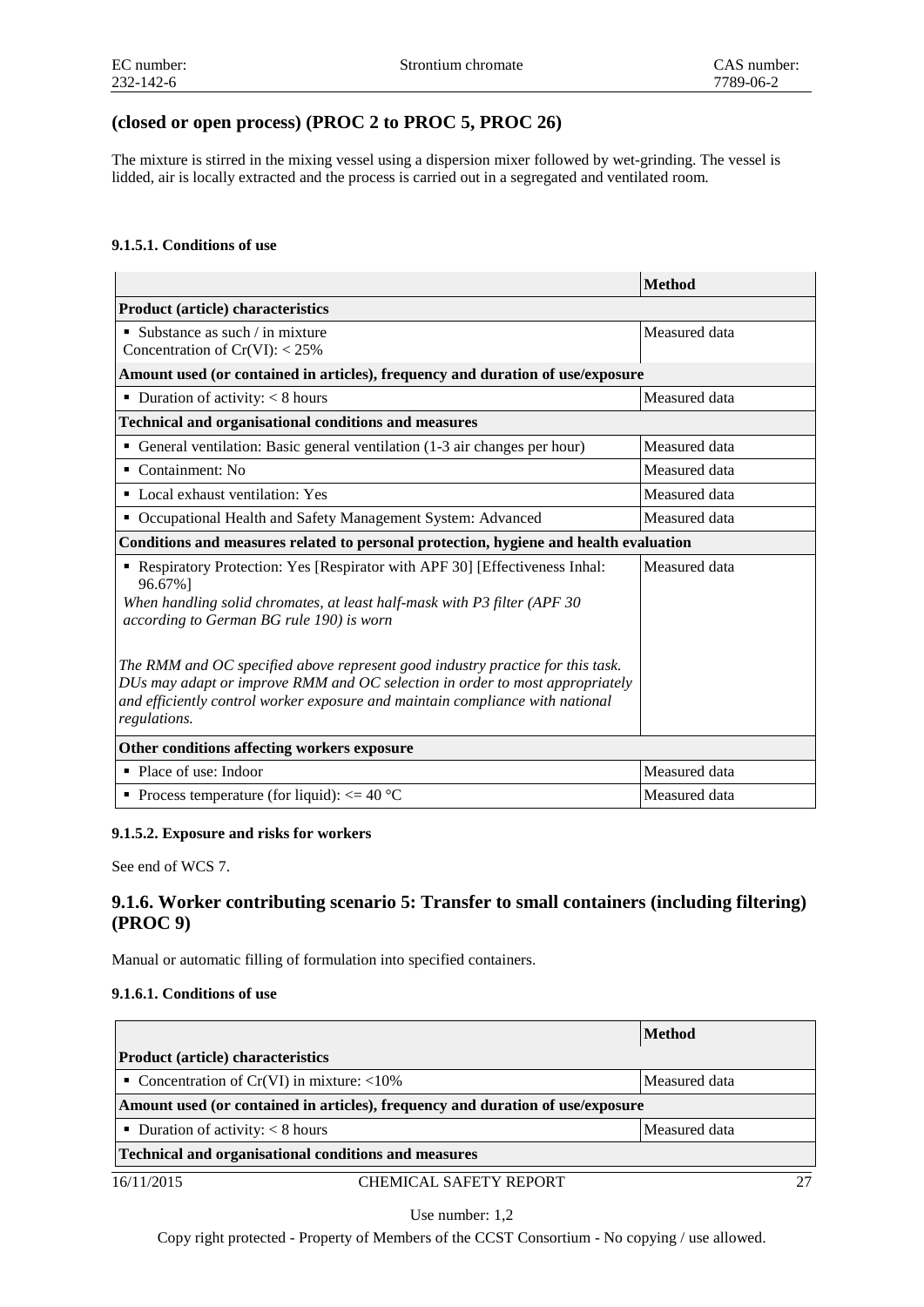## **(closed or open process) (PROC 2 to PROC 5, PROC 26)**

The mixture is stirred in the mixing vessel using a dispersion mixer followed by wet-grinding. The vessel is lidded, air is locally extracted and the process is carried out in a segregated and ventilated room.

## **9.1.5.1. Conditions of use**

|                                                                                                                                                                                                                                                                 | <b>Method</b> |  |
|-----------------------------------------------------------------------------------------------------------------------------------------------------------------------------------------------------------------------------------------------------------------|---------------|--|
| <b>Product (article) characteristics</b>                                                                                                                                                                                                                        |               |  |
| $\blacksquare$ Substance as such / in mixture<br>Concentration of $Cr(VI): < 25\%$                                                                                                                                                                              | Measured data |  |
| Amount used (or contained in articles), frequency and duration of use/exposure                                                                                                                                                                                  |               |  |
| • Duration of activity: $< 8$ hours                                                                                                                                                                                                                             | Measured data |  |
| <b>Technical and organisational conditions and measures</b>                                                                                                                                                                                                     |               |  |
| General ventilation: Basic general ventilation (1-3 air changes per hour)<br>٠                                                                                                                                                                                  | Measured data |  |
| $\blacksquare$ Containment: No                                                                                                                                                                                                                                  | Measured data |  |
| • Local exhaust ventilation: Yes                                                                                                                                                                                                                                | Measured data |  |
| Occupational Health and Safety Management System: Advanced                                                                                                                                                                                                      | Measured data |  |
| Conditions and measures related to personal protection, hygiene and health evaluation                                                                                                                                                                           |               |  |
| • Respiratory Protection: Yes [Respirator with APF 30] [Effectiveness Inhal:<br>96.67%]<br>When handling solid chromates, at least half-mask with P3 filter (APF 30<br>according to German BG rule 190) is worn                                                 | Measured data |  |
| The RMM and OC specified above represent good industry practice for this task.<br>DUs may adapt or improve RMM and OC selection in order to most appropriately<br>and efficiently control worker exposure and maintain compliance with national<br>regulations. |               |  |
| Other conditions affecting workers exposure                                                                                                                                                                                                                     |               |  |
| • Place of use: Indoor                                                                                                                                                                                                                                          | Measured data |  |
| • Process temperature (for liquid): $\leq$ = 40 °C                                                                                                                                                                                                              | Measured data |  |

## **9.1.5.2. Exposure and risks for workers**

See end of WCS 7.

## **9.1.6. Worker contributing scenario 5: Transfer to small containers (including filtering) (PROC 9)**

Manual or automatic filling of formulation into specified containers.

## **9.1.6.1. Conditions of use**

|                                                      |                                                                                | <b>Method</b> |
|------------------------------------------------------|--------------------------------------------------------------------------------|---------------|
| <b>Product (article) characteristics</b>             |                                                                                |               |
| • Concentration of Cr(VI) in mixture: $\langle 10\%$ |                                                                                | Measured data |
|                                                      | Amount used (or contained in articles), frequency and duration of use/exposure |               |
| ■ Duration of activity: $\lt 8$ hours                |                                                                                | Measured data |
|                                                      | <b>Technical and organisational conditions and measures</b>                    |               |
| 16/11/2015                                           | CHEMICAL SAFETY REPORT                                                         |               |

Use number: 1,2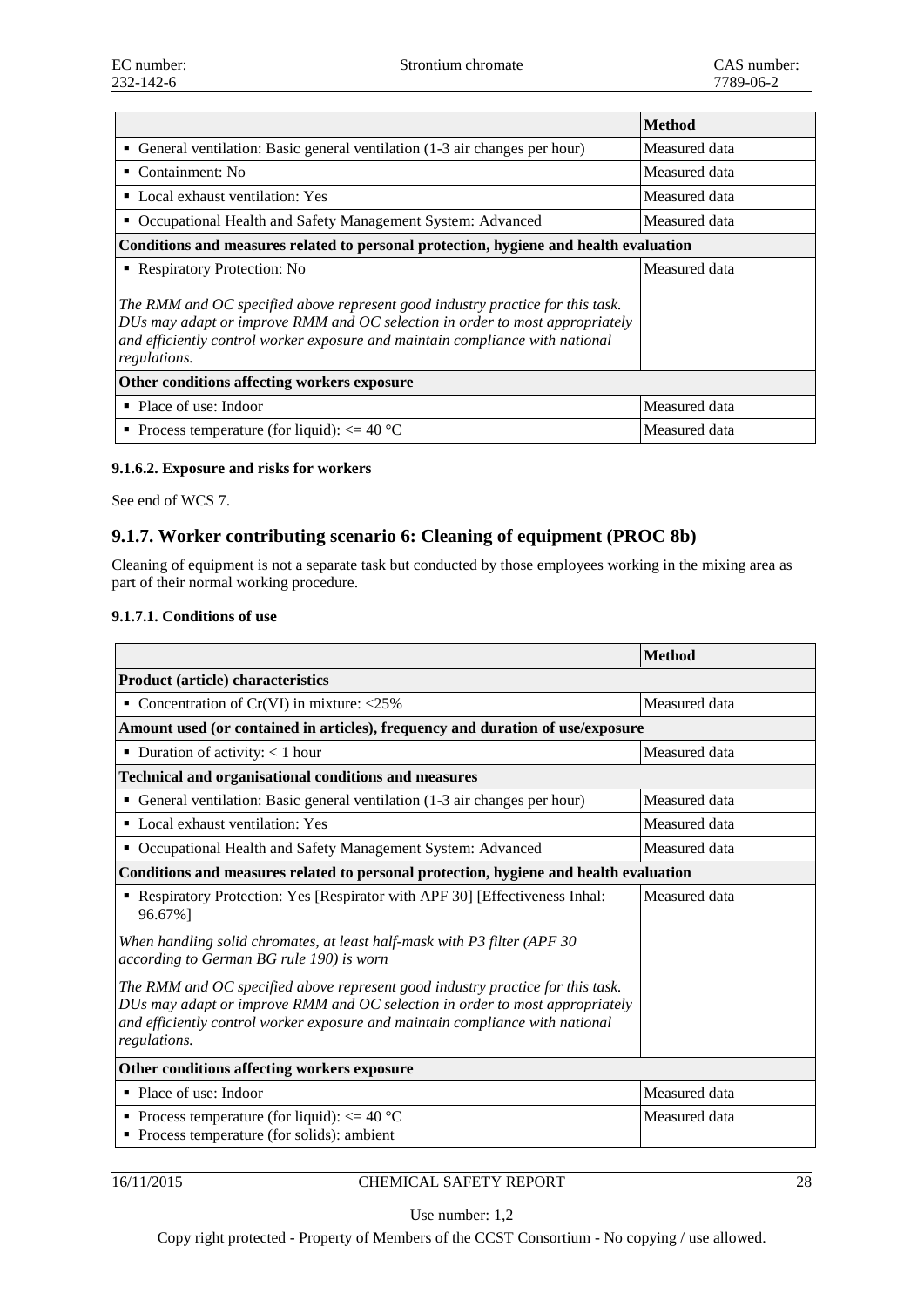|                                                                                                                                                                                                                                                                 | <b>Method</b> |  |
|-----------------------------------------------------------------------------------------------------------------------------------------------------------------------------------------------------------------------------------------------------------------|---------------|--|
| • General ventilation: Basic general ventilation (1-3 air changes per hour)                                                                                                                                                                                     | Measured data |  |
| Containment: No<br>٠                                                                                                                                                                                                                                            | Measured data |  |
| • Local exhaust ventilation: Yes                                                                                                                                                                                                                                | Measured data |  |
| Occupational Health and Safety Management System: Advanced                                                                                                                                                                                                      | Measured data |  |
| Conditions and measures related to personal protection, hygiene and health evaluation                                                                                                                                                                           |               |  |
| • Respiratory Protection: No                                                                                                                                                                                                                                    | Measured data |  |
| The RMM and OC specified above represent good industry practice for this task.<br>DUs may adapt or improve RMM and OC selection in order to most appropriately<br>and efficiently control worker exposure and maintain compliance with national<br>regulations. |               |  |
| Other conditions affecting workers exposure                                                                                                                                                                                                                     |               |  |
| $\blacksquare$ Place of use: Indoor                                                                                                                                                                                                                             | Measured data |  |
| • Process temperature (for liquid): $\leq$ = 40 °C                                                                                                                                                                                                              | Measured data |  |

## **9.1.6.2. Exposure and risks for workers**

See end of WCS 7.

## **9.1.7. Worker contributing scenario 6: Cleaning of equipment (PROC 8b)**

Cleaning of equipment is not a separate task but conducted by those employees working in the mixing area as part of their normal working procedure.

#### **9.1.7.1. Conditions of use**

|                                                                                                                                                                                                                                                                 | <b>Method</b> |  |  |
|-----------------------------------------------------------------------------------------------------------------------------------------------------------------------------------------------------------------------------------------------------------------|---------------|--|--|
| <b>Product (article) characteristics</b>                                                                                                                                                                                                                        |               |  |  |
| Concentration of $Cr(VI)$ in mixture: <25%<br>٠                                                                                                                                                                                                                 | Measured data |  |  |
| Amount used (or contained in articles), frequency and duration of use/exposure                                                                                                                                                                                  |               |  |  |
| • Duration of activity: $< 1$ hour                                                                                                                                                                                                                              | Measured data |  |  |
| <b>Technical and organisational conditions and measures</b>                                                                                                                                                                                                     |               |  |  |
| • General ventilation: Basic general ventilation (1-3 air changes per hour)                                                                                                                                                                                     | Measured data |  |  |
| • Local exhaust ventilation: Yes                                                                                                                                                                                                                                | Measured data |  |  |
| Occupational Health and Safety Management System: Advanced<br>٠                                                                                                                                                                                                 | Measured data |  |  |
| Conditions and measures related to personal protection, hygiene and health evaluation                                                                                                                                                                           |               |  |  |
| Respiratory Protection: Yes [Respirator with APF 30] [Effectiveness Inhal:<br>٠<br>96.67%]                                                                                                                                                                      | Measured data |  |  |
| When handling solid chromates, at least half-mask with P3 filter (APF 30<br>according to German BG rule 190) is worn                                                                                                                                            |               |  |  |
| The RMM and OC specified above represent good industry practice for this task.<br>DUs may adapt or improve RMM and OC selection in order to most appropriately<br>and efficiently control worker exposure and maintain compliance with national<br>regulations. |               |  |  |
| Other conditions affecting workers exposure                                                                                                                                                                                                                     |               |  |  |
| • Place of use: Indoor                                                                                                                                                                                                                                          | Measured data |  |  |
| • Process temperature (for liquid): $\leq$ = 40 °C<br>• Process temperature (for solids): ambient                                                                                                                                                               | Measured data |  |  |

## 16/11/2015 CHEMICAL SAFETY REPORT 28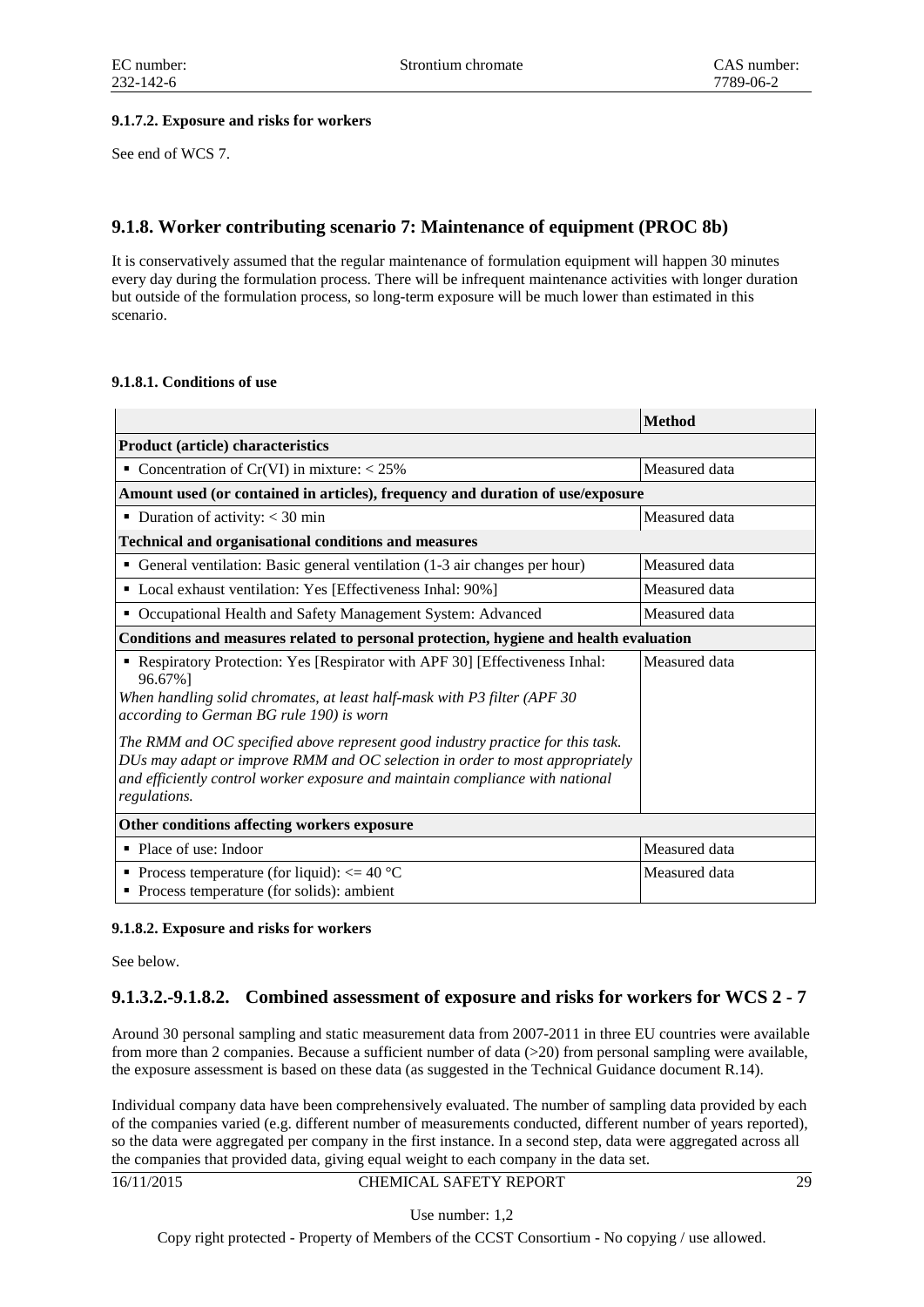## **9.1.7.2. Exposure and risks for workers**

See end of WCS 7.

## **9.1.8. Worker contributing scenario 7: Maintenance of equipment (PROC 8b)**

It is conservatively assumed that the regular maintenance of formulation equipment will happen 30 minutes every day during the formulation process. There will be infrequent maintenance activities with longer duration but outside of the formulation process, so long-term exposure will be much lower than estimated in this scenario.

## **9.1.8.1. Conditions of use**

|                                                                                                                                                                                                                                                                 | <b>Method</b> |  |
|-----------------------------------------------------------------------------------------------------------------------------------------------------------------------------------------------------------------------------------------------------------------|---------------|--|
| <b>Product (article) characteristics</b>                                                                                                                                                                                                                        |               |  |
| Concentration of Cr(VI) in mixture: $< 25\%$                                                                                                                                                                                                                    | Measured data |  |
| Amount used (or contained in articles), frequency and duration of use/exposure                                                                                                                                                                                  |               |  |
| • Duration of activity: $<$ 30 min                                                                                                                                                                                                                              | Measured data |  |
| <b>Technical and organisational conditions and measures</b>                                                                                                                                                                                                     |               |  |
| • General ventilation: Basic general ventilation (1-3 air changes per hour)                                                                                                                                                                                     | Measured data |  |
| • Local exhaust ventilation: Yes [Effectiveness Inhal: 90%]                                                                                                                                                                                                     | Measured data |  |
| • Occupational Health and Safety Management System: Advanced                                                                                                                                                                                                    | Measured data |  |
| Conditions and measures related to personal protection, hygiene and health evaluation                                                                                                                                                                           |               |  |
| Respiratory Protection: Yes [Respirator with APF 30] [Effectiveness Inhal:<br>96.67%]<br>When handling solid chromates, at least half-mask with P3 filter (APF 30<br>according to German BG rule 190) is worn                                                   | Measured data |  |
| The RMM and OC specified above represent good industry practice for this task.<br>DUs may adapt or improve RMM and OC selection in order to most appropriately<br>and efficiently control worker exposure and maintain compliance with national<br>regulations. |               |  |
| Other conditions affecting workers exposure                                                                                                                                                                                                                     |               |  |
| • Place of use: Indoor                                                                                                                                                                                                                                          | Measured data |  |
| • Process temperature (for liquid): $\leq$ = 40 °C<br>• Process temperature (for solids): ambient                                                                                                                                                               | Measured data |  |

## **9.1.8.2. Exposure and risks for workers**

See below.

## **9.1.3.2.-9.1.8.2. Combined assessment of exposure and risks for workers for WCS 2 - 7**

Around 30 personal sampling and static measurement data from 2007-2011 in three EU countries were available from more than 2 companies. Because a sufficient number of data (>20) from personal sampling were available, the exposure assessment is based on these data (as suggested in the Technical Guidance document R.14).

Individual company data have been comprehensively evaluated. The number of sampling data provided by each of the companies varied (e.g. different number of measurements conducted, different number of years reported), so the data were aggregated per company in the first instance. In a second step, data were aggregated across all the companies that provided data, giving equal weight to each company in the data set.

#### 16/11/2015 CHEMICAL SAFETY REPORT 29

Use number: 1,2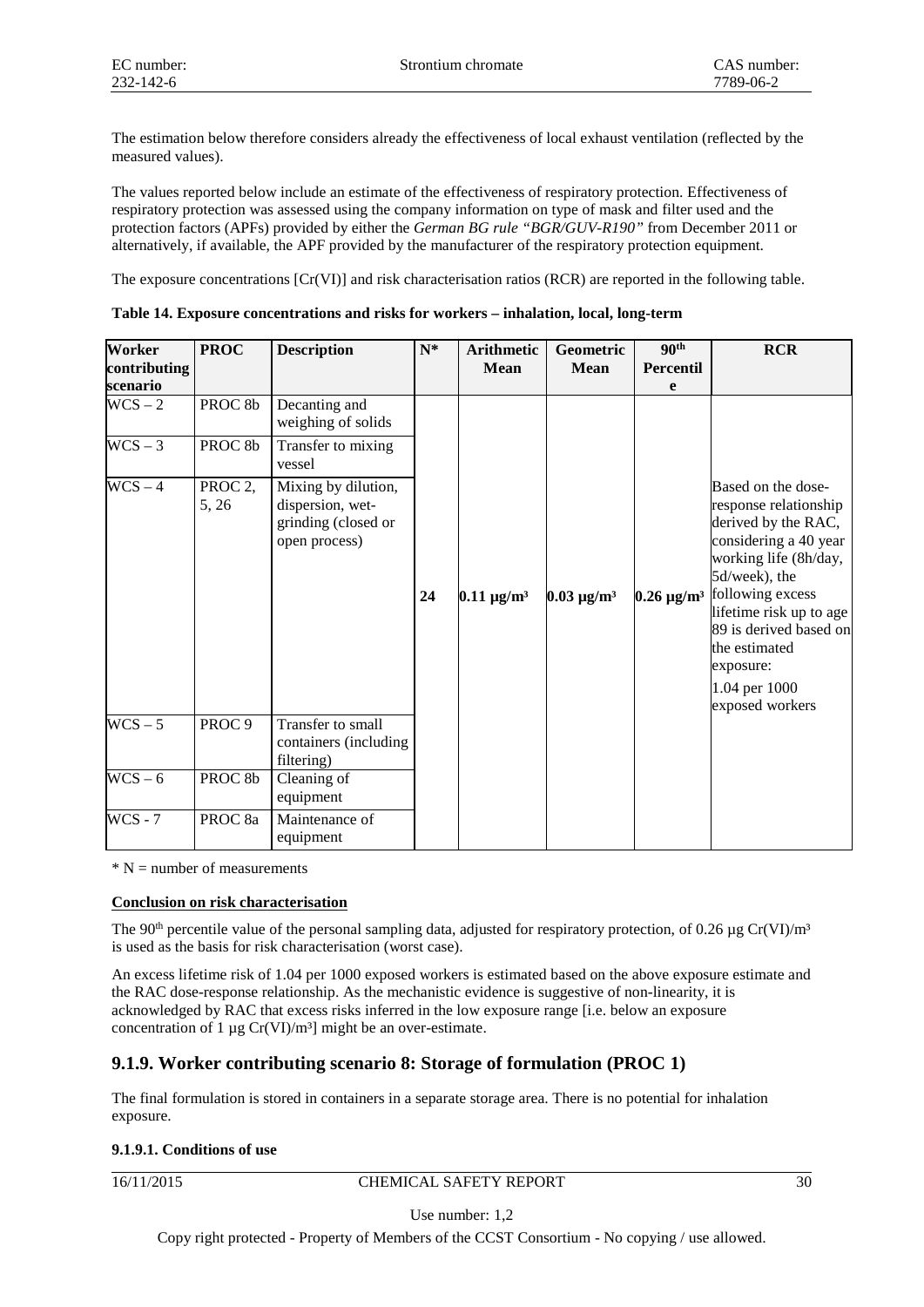The estimation below therefore considers already the effectiveness of local exhaust ventilation (reflected by the measured values).

The values reported below include an estimate of the effectiveness of respiratory protection. Effectiveness of respiratory protection was assessed using the company information on type of mask and filter used and the protection factors (APFs) provided by either the *German BG rule "BGR/GUV-R190"* from December 2011 or alternatively, if available, the APF provided by the manufacturer of the respiratory protection equipment.

The exposure concentrations [Cr(VI)] and risk characterisation ratios (RCR) are reported in the following table.

| Worker<br>contributing<br>scenario | <b>PROC</b>                  | <b>Description</b>                                                              | $N^*$ | <b>Arithmetic</b><br><b>Mean</b> | Geometric<br><b>Mean</b>    | 90 <sup>th</sup><br><b>Percentil</b><br>e | <b>RCR</b>                                                                                                                                                                                                                                                                       |
|------------------------------------|------------------------------|---------------------------------------------------------------------------------|-------|----------------------------------|-----------------------------|-------------------------------------------|----------------------------------------------------------------------------------------------------------------------------------------------------------------------------------------------------------------------------------------------------------------------------------|
| $WCS - 2$                          | PROC <sub>8b</sub>           | Decanting and<br>weighing of solids                                             |       |                                  |                             |                                           |                                                                                                                                                                                                                                                                                  |
| $WCS - 3$                          | PROC <sub>8b</sub>           | Transfer to mixing<br>vessel                                                    |       |                                  |                             |                                           |                                                                                                                                                                                                                                                                                  |
| $WCS - 4$                          | PROC <sub>2</sub> ,<br>5, 26 | Mixing by dilution,<br>dispersion, wet-<br>grinding (closed or<br>open process) | 24    | $0.11 \,\mathrm{\mu g/m^3}$      | $0.03 \,\mathrm{\mu g/m^3}$ | $0.26 \,\mathrm{\mu g/m^3}$               | Based on the dose-<br>response relationship<br>derived by the RAC,<br>considering a 40 year<br>working life (8h/day,<br>5d/week), the<br>following excess<br>lifetime risk up to age<br>89 is derived based on<br>the estimated<br>exposure:<br>1.04 per 1000<br>exposed workers |
| $WCS - 5$                          | PROC <sub>9</sub>            | Transfer to small<br>containers (including<br>filtering)                        |       |                                  |                             |                                           |                                                                                                                                                                                                                                                                                  |
| $WCS - 6$                          | PROC <sub>8b</sub>           | Cleaning of<br>equipment                                                        |       |                                  |                             |                                           |                                                                                                                                                                                                                                                                                  |
| $WCS - 7$                          | PROC <sub>8a</sub>           | Maintenance of<br>equipment                                                     |       |                                  |                             |                                           |                                                                                                                                                                                                                                                                                  |

**Table 14. Exposure concentrations and risks for workers – inhalation, local, long-term**

 $* N$  = number of measurements

## **Conclusion on risk characterisation**

The 90<sup>th</sup> percentile value of the personal sampling data, adjusted for respiratory protection, of 0.26  $\mu$ g Cr(VI)/m<sup>3</sup> is used as the basis for risk characterisation (worst case).

An excess lifetime risk of 1.04 per 1000 exposed workers is estimated based on the above exposure estimate and the RAC dose-response relationship. As the mechanistic evidence is suggestive of non-linearity, it is acknowledged by RAC that excess risks inferred in the low exposure range [i.e. below an exposure concentration of 1  $\mu$ g Cr(VI)/m<sup>3</sup>] might be an over-estimate.

## **9.1.9. Worker contributing scenario 8: Storage of formulation (PROC 1)**

The final formulation is stored in containers in a separate storage area. There is no potential for inhalation exposure.

## **9.1.9.1. Conditions of use**

16/11/2015 CHEMICAL SAFETY REPORT 30

Use number: 1,2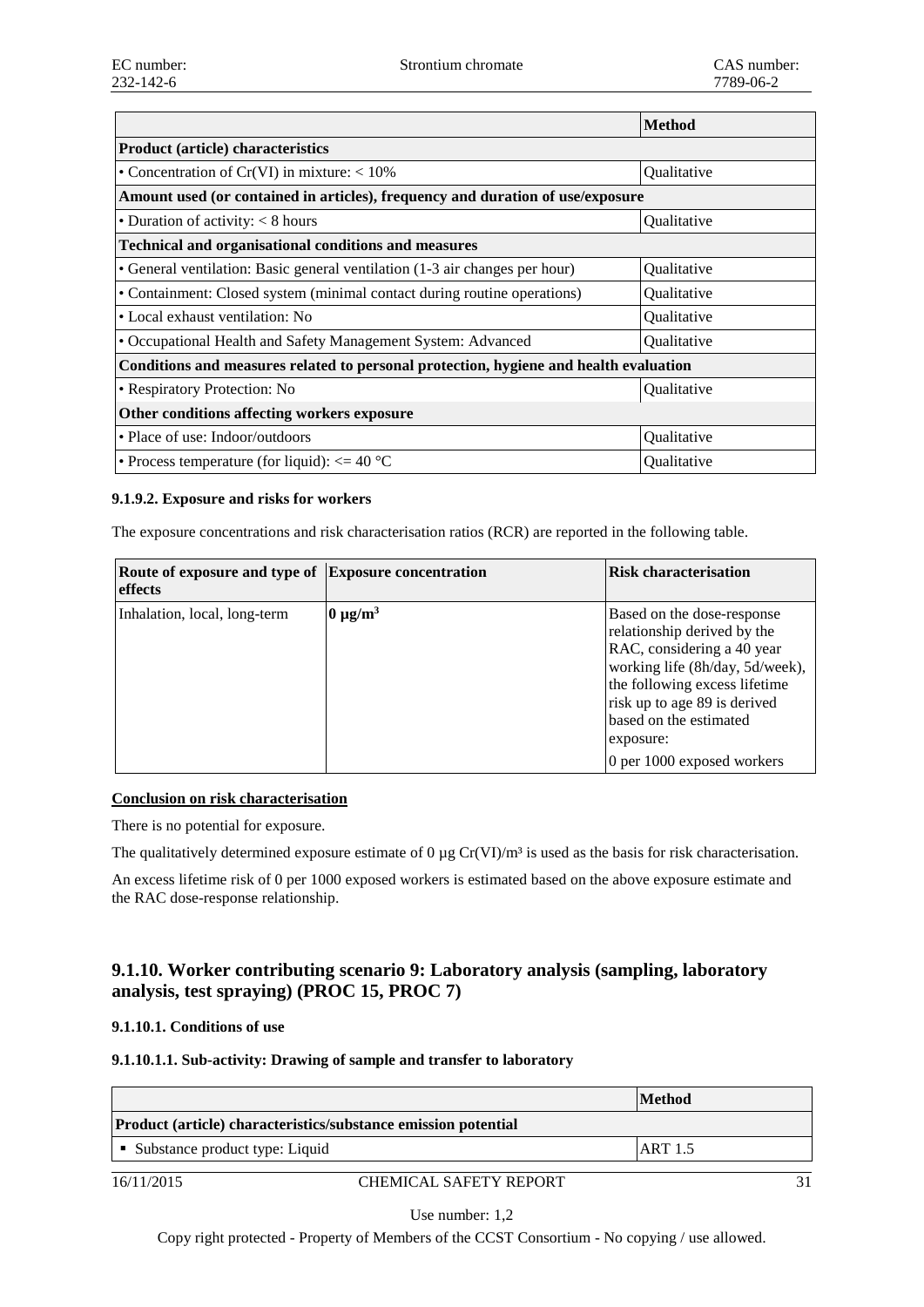|                                                                                       | <b>Method</b> |
|---------------------------------------------------------------------------------------|---------------|
| <b>Product (article) characteristics</b>                                              |               |
| • Concentration of Cr(VI) in mixture: $< 10\%$                                        | Qualitative   |
| Amount used (or contained in articles), frequency and duration of use/exposure        |               |
| • Duration of activity: $< 8$ hours                                                   | Qualitative   |
| <b>Technical and organisational conditions and measures</b>                           |               |
| • General ventilation: Basic general ventilation (1-3 air changes per hour)           | Qualitative   |
| • Containment: Closed system (minimal contact during routine operations)              | Qualitative   |
| • Local exhaust ventilation: No                                                       | Qualitative   |
| • Occupational Health and Safety Management System: Advanced                          | Qualitative   |
| Conditions and measures related to personal protection, hygiene and health evaluation |               |
| • Respiratory Protection: No                                                          | Qualitative   |
| Other conditions affecting workers exposure                                           |               |
| • Place of use: Indoor/outdoors                                                       | Qualitative   |
| • Process temperature (for liquid): $\epsilon$ = 40 °C                                | Qualitative   |

## **9.1.9.2. Exposure and risks for workers**

The exposure concentrations and risk characterisation ratios (RCR) are reported in the following table.

| Route of exposure and type of Exposure concentration<br>effects |               | <b>Risk characterisation</b>                                                                                                                                                                                                                                     |
|-----------------------------------------------------------------|---------------|------------------------------------------------------------------------------------------------------------------------------------------------------------------------------------------------------------------------------------------------------------------|
| Inhalation, local, long-term                                    | $0 \mu g/m^3$ | Based on the dose-response<br>relationship derived by the<br>RAC, considering a 40 year<br>working life (8h/day, 5d/week),<br>the following excess lifetime<br>risk up to age 89 is derived<br>based on the estimated<br>exposure:<br>0 per 1000 exposed workers |

## **Conclusion on risk characterisation**

There is no potential for exposure.

The qualitatively determined exposure estimate of 0  $\mu$ g Cr(VI)/m<sup>3</sup> is used as the basis for risk characterisation.

An excess lifetime risk of 0 per 1000 exposed workers is estimated based on the above exposure estimate and the RAC dose-response relationship.

## **9.1.10. Worker contributing scenario 9: Laboratory analysis (sampling, laboratory analysis, test spraying) (PROC 15, PROC 7)**

#### **9.1.10.1. Conditions of use**

#### **9.1.10.1.1. Sub-activity: Drawing of sample and transfer to laboratory**

|                                                                | <b>Method</b>  |
|----------------------------------------------------------------|----------------|
| Product (article) characteristics/substance emission potential |                |
| • Substance product type: Liquid                               | <b>ART 1.5</b> |
|                                                                |                |

## 16/11/2015 CHEMICAL SAFETY REPORT 31

Use number: 1,2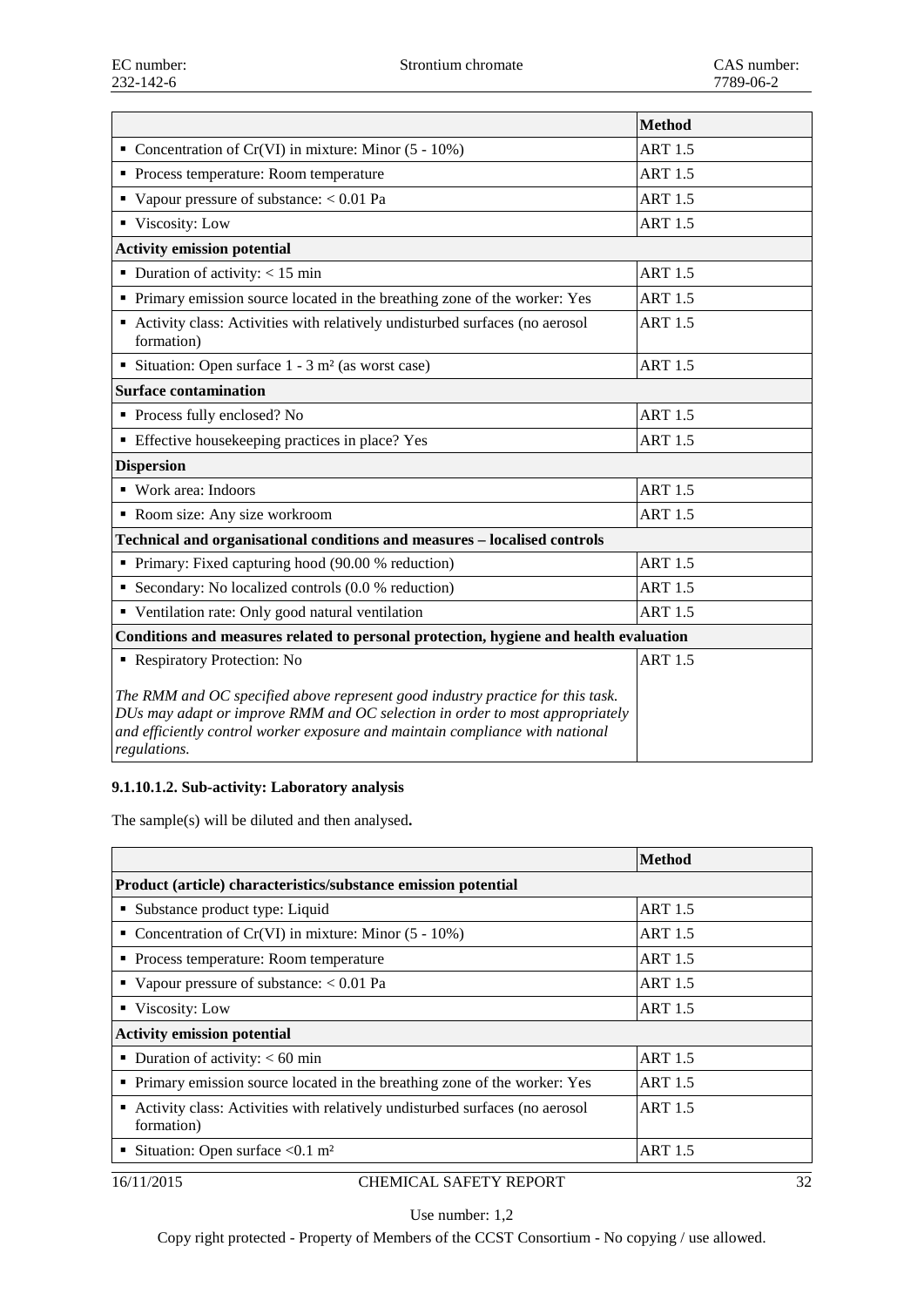|                                                                                                                                                                                                                                                                 | <b>Method</b>  |
|-----------------------------------------------------------------------------------------------------------------------------------------------------------------------------------------------------------------------------------------------------------------|----------------|
| • Concentration of Cr(VI) in mixture: Minor $(5 - 10\%)$                                                                                                                                                                                                        | <b>ART 1.5</b> |
| • Process temperature: Room temperature                                                                                                                                                                                                                         | <b>ART 1.5</b> |
| Vapour pressure of substance: $< 0.01$ Pa                                                                                                                                                                                                                       | <b>ART 1.5</b> |
| Viscosity: Low                                                                                                                                                                                                                                                  | <b>ART 1.5</b> |
| <b>Activity emission potential</b>                                                                                                                                                                                                                              |                |
| • Duration of activity: $< 15$ min                                                                                                                                                                                                                              | <b>ART 1.5</b> |
| • Primary emission source located in the breathing zone of the worker: Yes                                                                                                                                                                                      | <b>ART 1.5</b> |
| • Activity class: Activities with relatively undisturbed surfaces (no aerosol<br>formation)                                                                                                                                                                     | <b>ART 1.5</b> |
| Situation: Open surface $1 - 3$ m <sup>2</sup> (as worst case)                                                                                                                                                                                                  | <b>ART 1.5</b> |
| <b>Surface contamination</b>                                                                                                                                                                                                                                    |                |
| • Process fully enclosed? No                                                                                                                                                                                                                                    | <b>ART 1.5</b> |
| <b>Effective housekeeping practices in place? Yes</b>                                                                                                                                                                                                           | <b>ART 1.5</b> |
| <b>Dispersion</b>                                                                                                                                                                                                                                               |                |
| • Work area: Indoors                                                                                                                                                                                                                                            | <b>ART 1.5</b> |
| Room size: Any size workroom                                                                                                                                                                                                                                    | <b>ART 1.5</b> |
| Technical and organisational conditions and measures - localised controls                                                                                                                                                                                       |                |
| • Primary: Fixed capturing hood (90.00 % reduction)                                                                                                                                                                                                             | <b>ART 1.5</b> |
| • Secondary: No localized controls (0.0 % reduction)                                                                                                                                                                                                            | <b>ART 1.5</b> |
| • Ventilation rate: Only good natural ventilation                                                                                                                                                                                                               | <b>ART 1.5</b> |
| Conditions and measures related to personal protection, hygiene and health evaluation                                                                                                                                                                           |                |
| Respiratory Protection: No                                                                                                                                                                                                                                      | <b>ART 1.5</b> |
| The RMM and OC specified above represent good industry practice for this task.<br>DUs may adapt or improve RMM and OC selection in order to most appropriately<br>and efficiently control worker exposure and maintain compliance with national<br>regulations. |                |

## **9.1.10.1.2. Sub-activity: Laboratory analysis**

The sample(s) will be diluted and then analysed**.**

|                                                                                                | Method         |  |
|------------------------------------------------------------------------------------------------|----------------|--|
| Product (article) characteristics/substance emission potential                                 |                |  |
| • Substance product type: Liquid                                                               | <b>ART 1.5</b> |  |
| • Concentration of Cr(VI) in mixture: Minor $(5 - 10\%)$                                       | <b>ART 1.5</b> |  |
| • Process temperature: Room temperature                                                        | <b>ART 1.5</b> |  |
| • Vapour pressure of substance: $< 0.01$ Pa                                                    | <b>ART 1.5</b> |  |
| ■ Viscosity: Low                                                                               | <b>ART 1.5</b> |  |
| <b>Activity emission potential</b>                                                             |                |  |
| • Duration of activity: $< 60$ min                                                             | <b>ART 1.5</b> |  |
| • Primary emission source located in the breathing zone of the worker: Yes                     | <b>ART 1.5</b> |  |
| Activity class: Activities with relatively undisturbed surfaces (no aerosol<br>٠<br>formation) | <b>ART 1.5</b> |  |
| Situation: Open surface $< 0.1$ m <sup>2</sup>                                                 | <b>ART 1.5</b> |  |
|                                                                                                |                |  |

#### 16/11/2015 CHEMICAL SAFETY REPORT 32

Use number: 1,2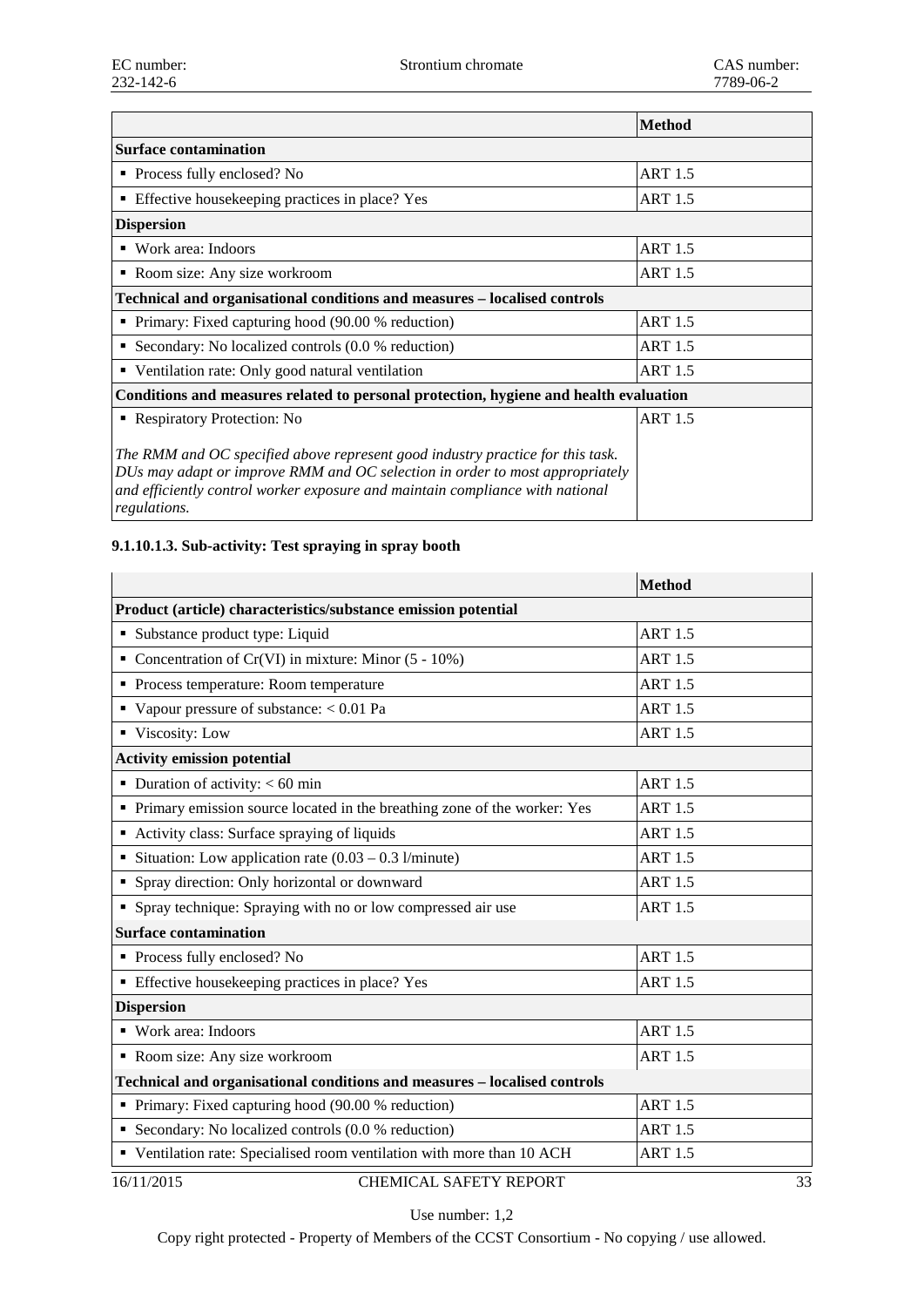|                                                                                                                                                                                                                                                                 | <b>Method</b>  |
|-----------------------------------------------------------------------------------------------------------------------------------------------------------------------------------------------------------------------------------------------------------------|----------------|
| <b>Surface contamination</b>                                                                                                                                                                                                                                    |                |
| • Process fully enclosed? No                                                                                                                                                                                                                                    | <b>ART 1.5</b> |
| Effective housekeeping practices in place? Yes<br>٠                                                                                                                                                                                                             | <b>ART 1.5</b> |
| <b>Dispersion</b>                                                                                                                                                                                                                                               |                |
| $\blacksquare$ Work area: Indoors                                                                                                                                                                                                                               | <b>ART 1.5</b> |
| • Room size: Any size workroom                                                                                                                                                                                                                                  | <b>ART 1.5</b> |
| Technical and organisational conditions and measures – localised controls                                                                                                                                                                                       |                |
| • Primary: Fixed capturing hood (90.00 % reduction)                                                                                                                                                                                                             | <b>ART 1.5</b> |
| • Secondary: No localized controls $(0.0 %$ reduction)                                                                                                                                                                                                          | <b>ART 1.5</b> |
| • Ventilation rate: Only good natural ventilation                                                                                                                                                                                                               | <b>ART 1.5</b> |
| Conditions and measures related to personal protection, hygiene and health evaluation                                                                                                                                                                           |                |
| • Respiratory Protection: No                                                                                                                                                                                                                                    | <b>ART 1.5</b> |
| The RMM and OC specified above represent good industry practice for this task.<br>DUs may adapt or improve RMM and OC selection in order to most appropriately<br>and efficiently control worker exposure and maintain compliance with national<br>regulations. |                |

## **9.1.10.1.3. Sub-activity: Test spraying in spray booth**

|                                                                            | <b>Method</b>  |  |  |
|----------------------------------------------------------------------------|----------------|--|--|
| Product (article) characteristics/substance emission potential             |                |  |  |
| • Substance product type: Liquid                                           | <b>ART 1.5</b> |  |  |
| • Concentration of Cr(VI) in mixture: Minor $(5 - 10\%)$                   | <b>ART 1.5</b> |  |  |
| • Process temperature: Room temperature                                    | <b>ART 1.5</b> |  |  |
| Vapour pressure of substance: $< 0.01$ Pa                                  | <b>ART 1.5</b> |  |  |
| • Viscosity: Low                                                           | <b>ART 1.5</b> |  |  |
| <b>Activity emission potential</b>                                         |                |  |  |
| • Duration of activity: $< 60$ min                                         | <b>ART 1.5</b> |  |  |
| • Primary emission source located in the breathing zone of the worker: Yes | <b>ART 1.5</b> |  |  |
| • Activity class: Surface spraying of liquids                              | <b>ART 1.5</b> |  |  |
| Situation: Low application rate $(0.03 - 0.3 \text{ l/minute})$            | <b>ART 1.5</b> |  |  |
| • Spray direction: Only horizontal or downward                             | <b>ART 1.5</b> |  |  |
| • Spray technique: Spraying with no or low compressed air use              | <b>ART 1.5</b> |  |  |
| <b>Surface contamination</b>                                               |                |  |  |
| • Process fully enclosed? No                                               | <b>ART 1.5</b> |  |  |
| • Effective housekeeping practices in place? Yes                           | <b>ART 1.5</b> |  |  |
| <b>Dispersion</b>                                                          |                |  |  |
| • Work area: Indoors                                                       | <b>ART 1.5</b> |  |  |
| Room size: Any size workroom                                               | <b>ART 1.5</b> |  |  |
| Technical and organisational conditions and measures - localised controls  |                |  |  |
| • Primary: Fixed capturing hood (90.00 % reduction)                        | <b>ART 1.5</b> |  |  |
| Secondary: No localized controls $(0.0 %$ reduction)                       | <b>ART 1.5</b> |  |  |
| • Ventilation rate: Specialised room ventilation with more than 10 ACH     | <b>ART 1.5</b> |  |  |
| <b>CHEMICAL SAFETY REPORT</b><br>16/11/2015                                | 33             |  |  |

Use number: 1,2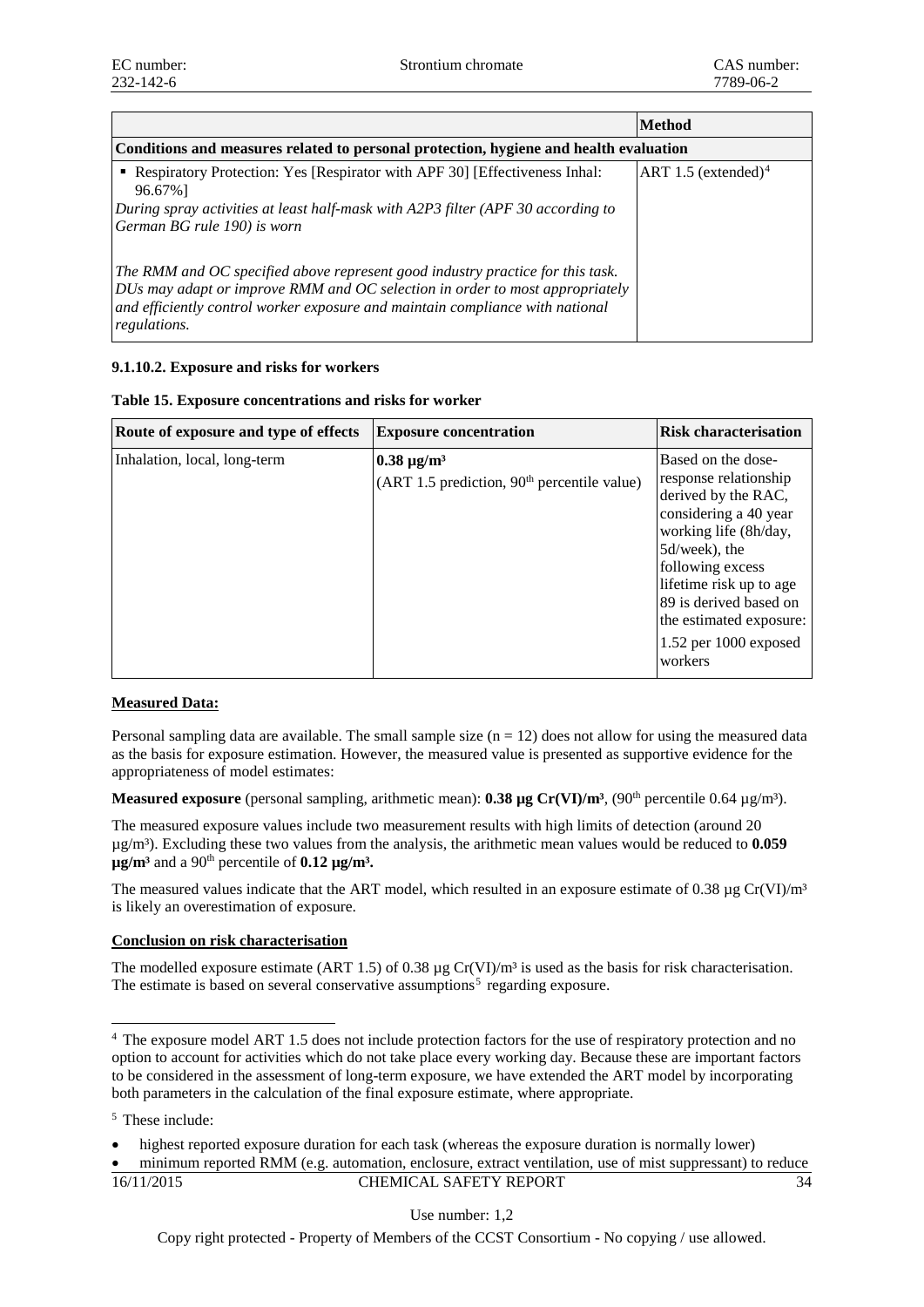|                                                                                                                                                                                                                                                                 | <b>Method</b>                   |  |
|-----------------------------------------------------------------------------------------------------------------------------------------------------------------------------------------------------------------------------------------------------------------|---------------------------------|--|
| Conditions and measures related to personal protection, hygiene and health evaluation                                                                                                                                                                           |                                 |  |
| • Respiratory Protection: Yes [Respirator with APF 30] [Effectiveness Inhal:<br>96.67%]<br>During spray activities at least half-mask with A2P3 filter (APF 30 according to                                                                                     | ART 1.5 (extended) <sup>4</sup> |  |
| German BG rule 190) is worn                                                                                                                                                                                                                                     |                                 |  |
| The RMM and OC specified above represent good industry practice for this task.<br>DUs may adapt or improve RMM and OC selection in order to most appropriately<br>and efficiently control worker exposure and maintain compliance with national<br>regulations. |                                 |  |

## **9.1.10.2. Exposure and risks for workers**

| Route of exposure and type of effects | <b>Exposure concentration</b>                                                  | <b>Risk characterisation</b>                                                                                                                                                                                                                                                    |
|---------------------------------------|--------------------------------------------------------------------------------|---------------------------------------------------------------------------------------------------------------------------------------------------------------------------------------------------------------------------------------------------------------------------------|
| Inhalation, local, long-term          | $\sim$ 0.38 µg/m <sup>3</sup><br>$(ART 1.5 prediction, 90th percentile value)$ | Based on the dose-<br>response relationship<br>derived by the RAC,<br>considering a 40 year<br>working life (8h/day,<br>5d/week), the<br>following excess<br>lifetime risk up to age<br>89 is derived based on<br>the estimated exposure:<br>$1.52$ per 1000 exposed<br>workers |

## **Table 15. Exposure concentrations and risks for worker**

## **Measured Data:**

Personal sampling data are available. The small sample size  $(n = 12)$  does not allow for using the measured data as the basis for exposure estimation. However, the measured value is presented as supportive evidence for the appropriateness of model estimates:

**Measured exposure** (personal sampling, arithmetic mean): **0.38 µg**  $Cr(VI)/m^3$ , (90<sup>th</sup> percentile 0.64 µg/m<sup>3</sup>).

The measured exposure values include two measurement results with high limits of detection (around 20 µg/m³). Excluding these two values from the analysis, the arithmetic mean values would be reduced to **0.059**   $\mu$ g/m<sup>3</sup> and a 90<sup>th</sup> percentile of **0.12**  $\mu$ g/m<sup>3</sup>.

The measured values indicate that the ART model, which resulted in an exposure estimate of 0.38  $\mu$ g Cr(VI)/m<sup>3</sup> is likely an overestimation of exposure.

## **Conclusion on risk characterisation**

The modelled exposure estimate (ART 1.5) of 0.38  $\mu$ g Cr(VI)/m<sup>3</sup> is used as the basis for risk characterisation. The estimate is based on several conservative assumptions<sup>[5](#page-20-1)</sup> regarding exposure.

## 16/11/2015 CHEMICAL SAFETY REPORT 34

Use number: 1,2

<span id="page-20-0"></span> <sup>4</sup> The exposure model ART 1.5 does not include protection factors for the use of respiratory protection and no option to account for activities which do not take place every working day. Because these are important factors to be considered in the assessment of long-term exposure, we have extended the ART model by incorporating both parameters in the calculation of the final exposure estimate, where appropriate.

<span id="page-20-1"></span><sup>5</sup> These include:

<sup>•</sup> highest reported exposure duration for each task (whereas the exposure duration is normally lower)

<sup>•</sup> minimum reported RMM (e.g. automation, enclosure, extract ventilation, use of mist suppressant) to reduce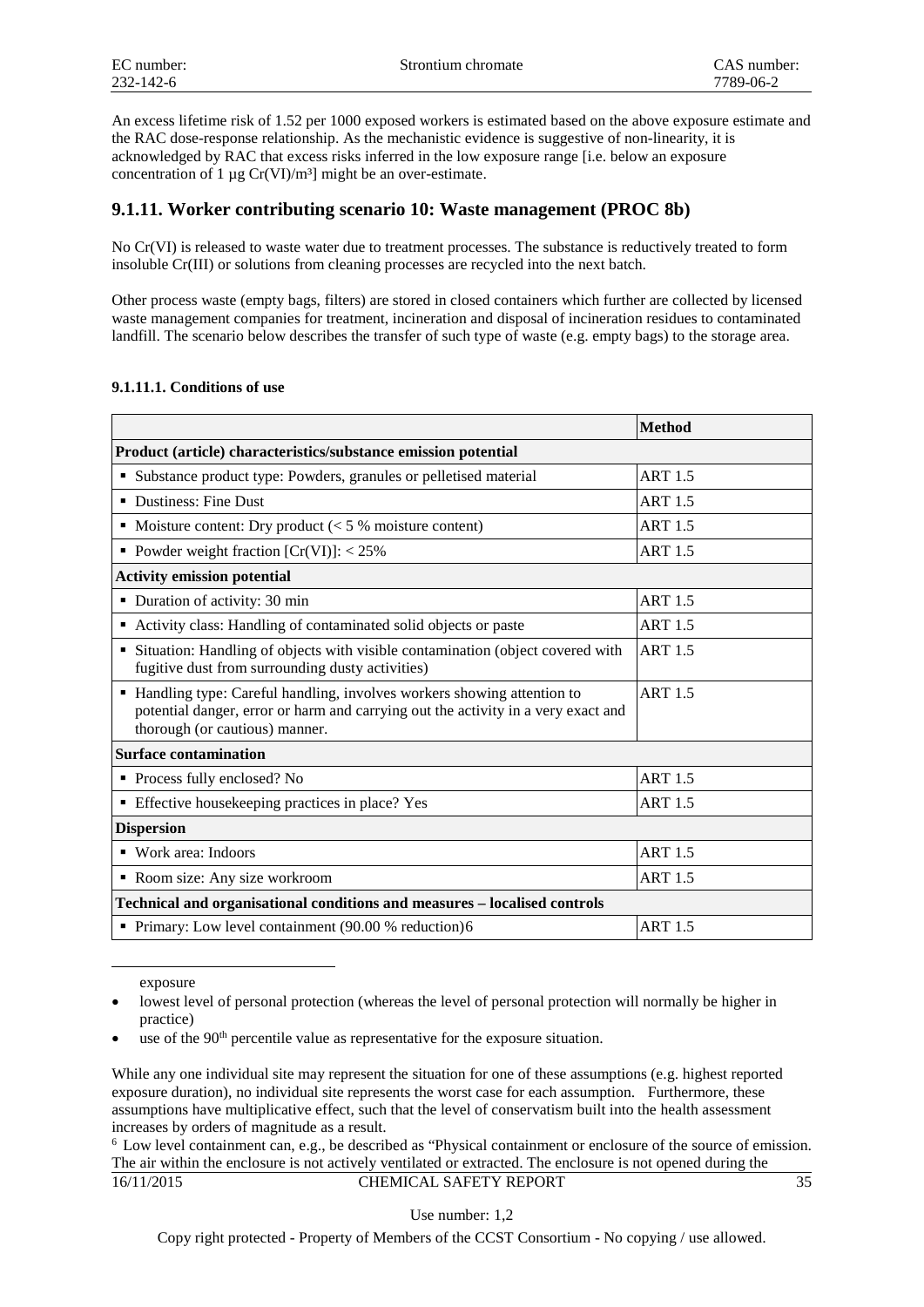An excess lifetime risk of 1.52 per 1000 exposed workers is estimated based on the above exposure estimate and the RAC dose-response relationship. As the mechanistic evidence is suggestive of non-linearity, it is acknowledged by RAC that excess risks inferred in the low exposure range [i.e. below an exposure concentration of 1  $\mu$ g Cr(VI)/m<sup>3</sup>] might be an over-estimate.

## **9.1.11. Worker contributing scenario 10: Waste management (PROC 8b)**

No Cr(VI) is released to waste water due to treatment processes. The substance is reductively treated to form insoluble Cr(III) or solutions from cleaning processes are recycled into the next batch.

Other process waste (empty bags, filters) are stored in closed containers which further are collected by licensed waste management companies for treatment, incineration and disposal of incineration residues to contaminated landfill. The scenario below describes the transfer of such type of waste (e.g. empty bags) to the storage area.

## **9.1.11.1. Conditions of use**

|                                                                                                                                                                                                 | <b>Method</b>  |
|-------------------------------------------------------------------------------------------------------------------------------------------------------------------------------------------------|----------------|
| Product (article) characteristics/substance emission potential                                                                                                                                  |                |
| • Substance product type: Powders, granules or pelletised material                                                                                                                              | <b>ART 1.5</b> |
| • Dustiness: Fine Dust                                                                                                                                                                          | <b>ART 1.5</b> |
| • Moisture content: Dry product $\ll$ 5 % moisture content)                                                                                                                                     | <b>ART 1.5</b> |
| • Powder weight fraction $[Cr(VI)]$ : < 25%                                                                                                                                                     | <b>ART 1.5</b> |
| <b>Activity emission potential</b>                                                                                                                                                              |                |
| • Duration of activity: 30 min                                                                                                                                                                  | <b>ART 1.5</b> |
| • Activity class: Handling of contaminated solid objects or paste                                                                                                                               | <b>ART 1.5</b> |
| • Situation: Handling of objects with visible contamination (object covered with<br>fugitive dust from surrounding dusty activities)                                                            | <b>ART 1.5</b> |
| • Handling type: Careful handling, involves workers showing attention to<br>potential danger, error or harm and carrying out the activity in a very exact and<br>thorough (or cautious) manner. | <b>ART 1.5</b> |
| <b>Surface contamination</b>                                                                                                                                                                    |                |
| • Process fully enclosed? No                                                                                                                                                                    | <b>ART 1.5</b> |
| <b>Effective houseleeping practices in place? Yes</b>                                                                                                                                           | <b>ART 1.5</b> |
| <b>Dispersion</b>                                                                                                                                                                               |                |
| • Work area: Indoors                                                                                                                                                                            | <b>ART 1.5</b> |
| Room size: Any size workroom                                                                                                                                                                    | <b>ART 1.5</b> |
| Technical and organisational conditions and measures - localised controls                                                                                                                       |                |
| Primary: Low level containment (90.00 % reduction)6                                                                                                                                             | <b>ART 1.5</b> |

exposure

-

Use number: 1,2

lowest level of personal protection (whereas the level of personal protection will normally be higher in practice)

use of the 90<sup>th</sup> percentile value as representative for the exposure situation.

While any one individual site may represent the situation for one of these assumptions (e.g. highest reported exposure duration), no individual site represents the worst case for each assumption. Furthermore, these assumptions have multiplicative effect, such that the level of conservatism built into the health assessment increases by orders of magnitude as a result.

<span id="page-21-0"></span><sup>16/11/2015</sup> CHEMICAL SAFETY REPORT 35 <sup>6</sup> Low level containment can, e.g., be described as "Physical containment or enclosure of the source of emission. The air within the enclosure is not actively ventilated or extracted. The enclosure is not opened during the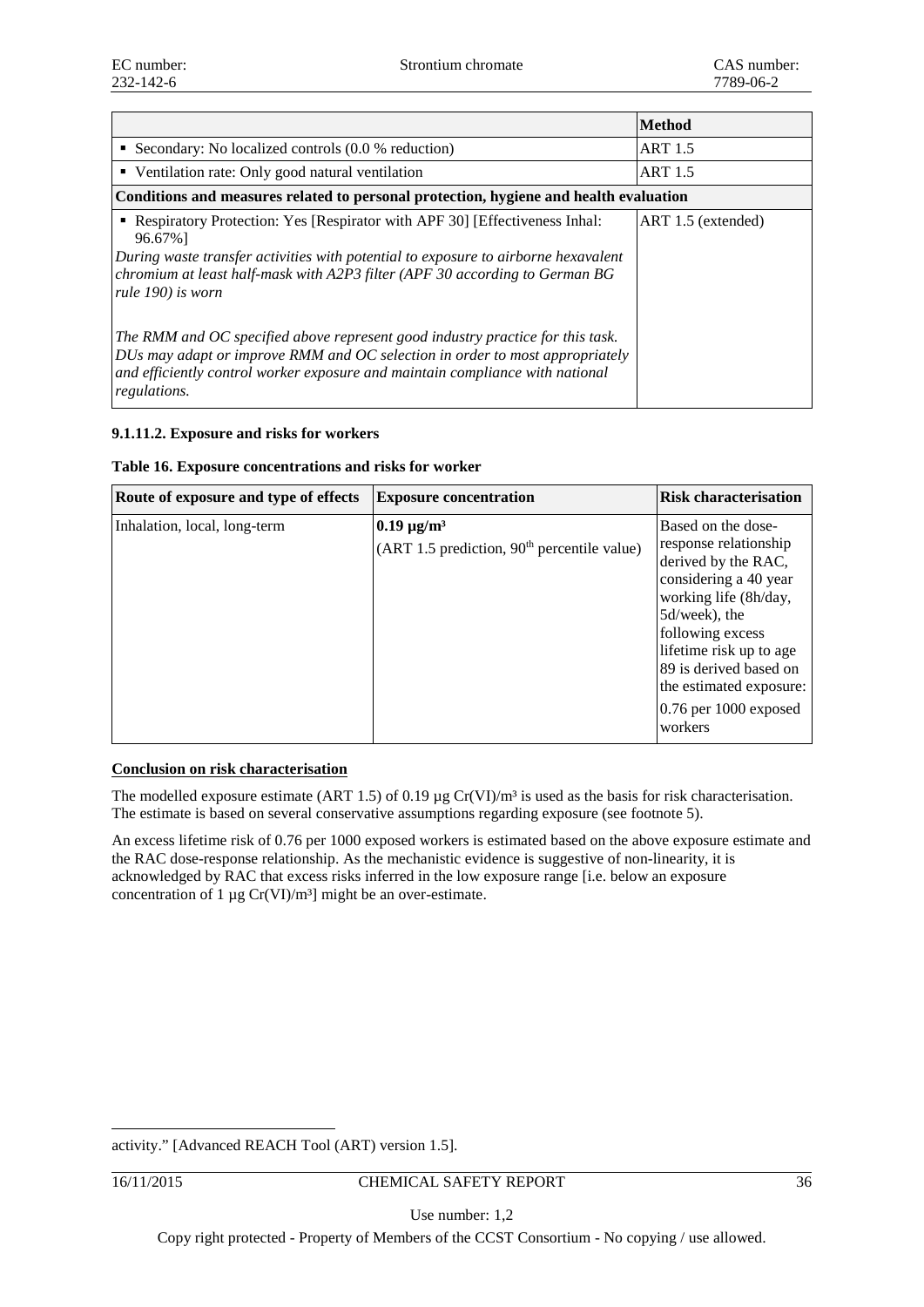|                                                                                                                                                                                                                                                                                   | <b>Method</b>      |  |  |
|-----------------------------------------------------------------------------------------------------------------------------------------------------------------------------------------------------------------------------------------------------------------------------------|--------------------|--|--|
| • Secondary: No localized controls $(0.0 %$ reduction)                                                                                                                                                                                                                            | <b>ART 1.5</b>     |  |  |
| • Ventilation rate: Only good natural ventilation                                                                                                                                                                                                                                 | <b>ART 1.5</b>     |  |  |
| Conditions and measures related to personal protection, hygiene and health evaluation                                                                                                                                                                                             |                    |  |  |
| • Respiratory Protection: Yes [Respirator with APF 30] [Effectiveness Inhal:<br>96.67%]<br>During waste transfer activities with potential to exposure to airborne hexavalent<br>chromium at least half-mask with A2P3 filter (APF 30 according to German BG<br>rule 190) is worn | ART 1.5 (extended) |  |  |
| The RMM and OC specified above represent good industry practice for this task.<br>DUs may adapt or improve RMM and OC selection in order to most appropriately<br>and efficiently control worker exposure and maintain compliance with national<br>regulations.                   |                    |  |  |

## **9.1.11.2. Exposure and risks for workers**

|  | Table 16. Exposure concentrations and risks for worker |  |  |
|--|--------------------------------------------------------|--|--|
|  |                                                        |  |  |

| Route of exposure and type of effects | <b>Exposure concentration</b>                                                | <b>Risk characterisation</b>                                                                                                                                                                                                                                                      |
|---------------------------------------|------------------------------------------------------------------------------|-----------------------------------------------------------------------------------------------------------------------------------------------------------------------------------------------------------------------------------------------------------------------------------|
| Inhalation, local, long-term          | $0.19 \,\mathrm{\mu g/m^3}$<br>$(ART 1.5 prediction, 90th percentile value)$ | Based on the dose-<br>response relationship<br>derived by the RAC,<br>considering a 40 year<br>working life (8h/day,<br>5d/week), the<br>following excess<br>lifetime risk up to age<br>89 is derived based on<br>the estimated exposure:<br>$0.76$ per $1000$ exposed<br>workers |

## **Conclusion on risk characterisation**

The modelled exposure estimate (ART 1.5) of 0.19  $\mu$ g Cr(VI)/m<sup>3</sup> is used as the basis for risk characterisation. The estimate is based on several conservative assumptions regarding exposure (see footnote 5).

An excess lifetime risk of 0.76 per 1000 exposed workers is estimated based on the above exposure estimate and the RAC dose-response relationship. As the mechanistic evidence is suggestive of non-linearity, it is acknowledged by RAC that excess risks inferred in the low exposure range [i.e. below an exposure concentration of 1  $\mu$ g Cr(VI)/m<sup>3</sup>] might be an over-estimate.

activity." [Advanced REACH Tool (ART) version 1.5].

-

## 16/11/2015 CHEMICAL SAFETY REPORT 36

Use number: 1,2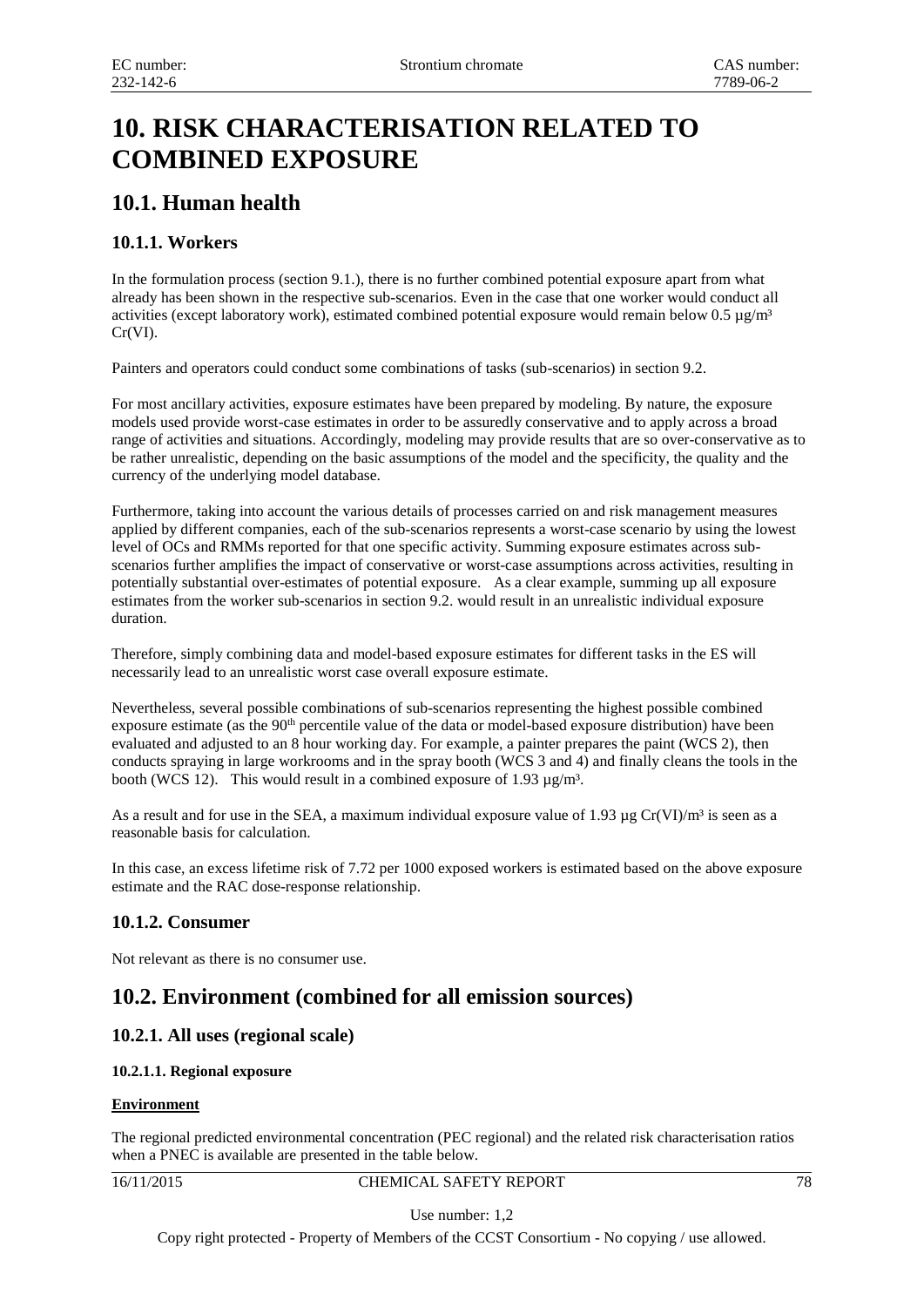# **10. RISK CHARACTERISATION RELATED TO COMBINED EXPOSURE**

## **10.1. Human health**

## **10.1.1. Workers**

In the formulation process (section 9.1.), there is no further combined potential exposure apart from what already has been shown in the respective sub-scenarios. Even in the case that one worker would conduct all activities (except laboratory work), estimated combined potential exposure would remain below  $0.5 \mu g/m<sup>3</sup>$ Cr(VI).

Painters and operators could conduct some combinations of tasks (sub-scenarios) in section 9.2.

For most ancillary activities, exposure estimates have been prepared by modeling. By nature, the exposure models used provide worst-case estimates in order to be assuredly conservative and to apply across a broad range of activities and situations. Accordingly, modeling may provide results that are so over-conservative as to be rather unrealistic, depending on the basic assumptions of the model and the specificity, the quality and the currency of the underlying model database.

Furthermore, taking into account the various details of processes carried on and risk management measures applied by different companies, each of the sub-scenarios represents a worst-case scenario by using the lowest level of OCs and RMMs reported for that one specific activity. Summing exposure estimates across subscenarios further amplifies the impact of conservative or worst-case assumptions across activities, resulting in potentially substantial over-estimates of potential exposure. As a clear example, summing up all exposure estimates from the worker sub-scenarios in section 9.2. would result in an unrealistic individual exposure duration.

Therefore, simply combining data and model-based exposure estimates for different tasks in the ES will necessarily lead to an unrealistic worst case overall exposure estimate.

Nevertheless, several possible combinations of sub-scenarios representing the highest possible combined exposure estimate (as the 90<sup>th</sup> percentile value of the data or model-based exposure distribution) have been evaluated and adjusted to an 8 hour working day. For example, a painter prepares the paint (WCS 2), then conducts spraying in large workrooms and in the spray booth (WCS 3 and 4) and finally cleans the tools in the booth (WCS 12). This would result in a combined exposure of 1.93  $\mu$ g/m<sup>3</sup>.

As a result and for use in the SEA, a maximum individual exposure value of 1.93  $\mu$ g Cr(VI)/m<sup>3</sup> is seen as a reasonable basis for calculation.

In this case, an excess lifetime risk of 7.72 per 1000 exposed workers is estimated based on the above exposure estimate and the RAC dose-response relationship.

## **10.1.2. Consumer**

Not relevant as there is no consumer use.

## **10.2. Environment (combined for all emission sources)**

## **10.2.1. All uses (regional scale)**

## **10.2.1.1. Regional exposure**

## **Environment**

The regional predicted environmental concentration (PEC regional) and the related risk characterisation ratios when a PNEC is available are presented in the table below.

16/11/2015 CHEMICAL SAFETY REPORT 78

Use number: 1,2